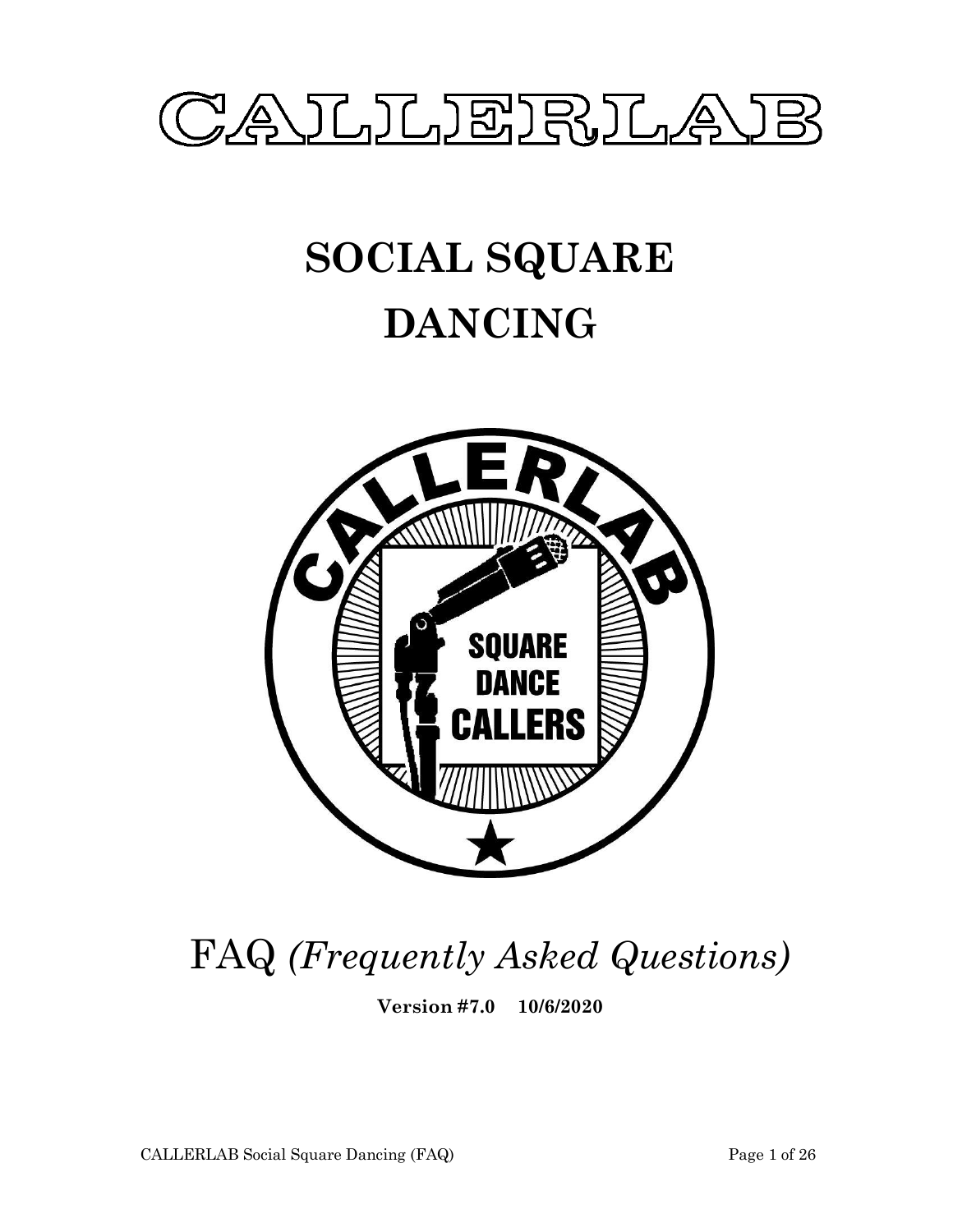

# **SOCIAL SQUARE DANCING**



## FAQ *(Frequently Asked Questions)*

**Version #7.0 10/6/2020**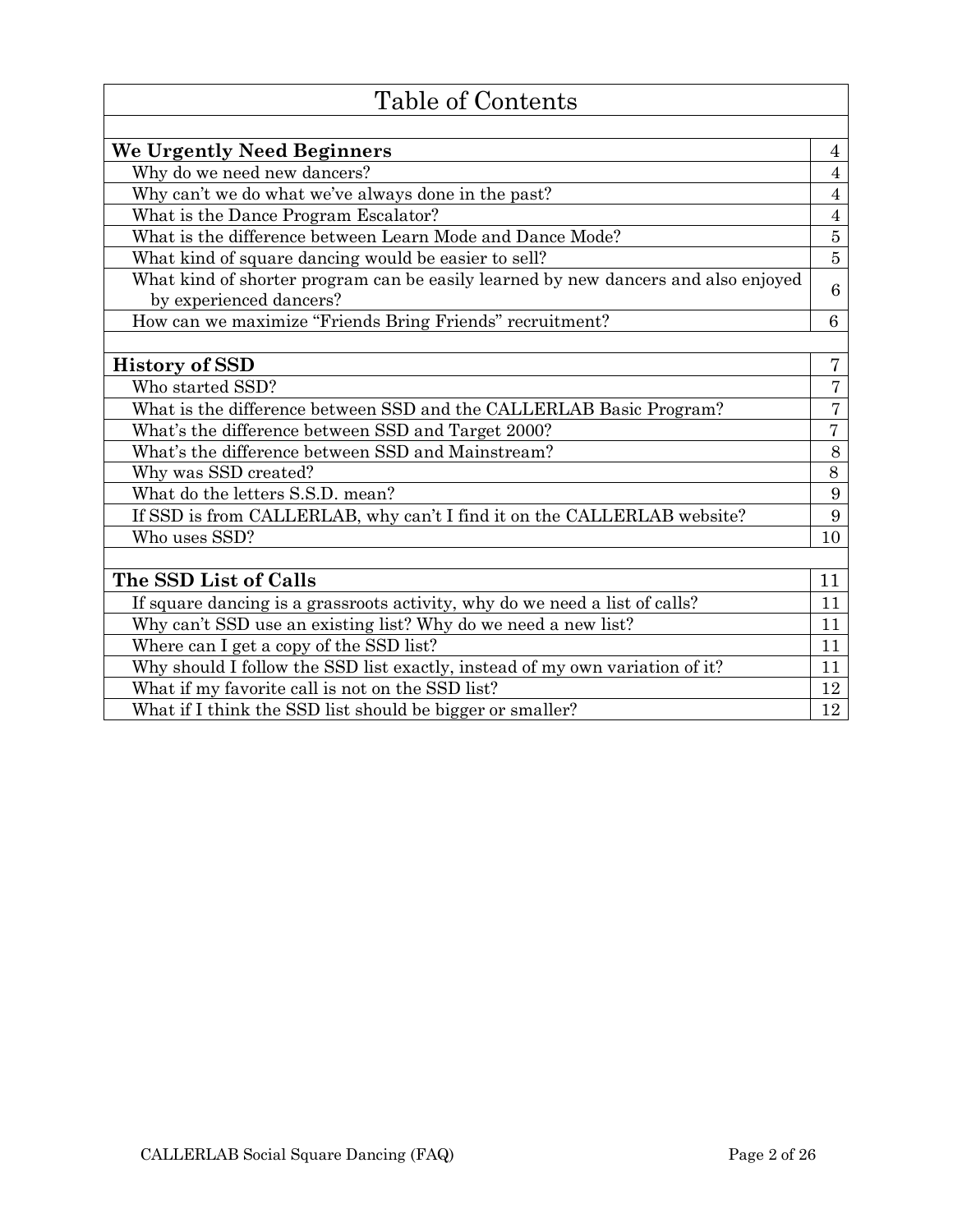| Table of Contents                                                                                             |                |
|---------------------------------------------------------------------------------------------------------------|----------------|
|                                                                                                               |                |
| We Urgently Need Beginners                                                                                    | $\overline{4}$ |
| Why do we need new dancers?                                                                                   | $\overline{4}$ |
| Why can't we do what we've always done in the past?                                                           | $\overline{4}$ |
| What is the Dance Program Escalator?                                                                          | $\overline{4}$ |
| What is the difference between Learn Mode and Dance Mode?                                                     | $\bf 5$        |
| What kind of square dancing would be easier to sell?                                                          | $\overline{5}$ |
| What kind of shorter program can be easily learned by new dancers and also enjoyed<br>by experienced dancers? | 6              |
| How can we maximize "Friends Bring Friends" recruitment?                                                      | 6              |
|                                                                                                               |                |
| <b>History of SSD</b>                                                                                         | $\overline{7}$ |
| Who started SSD?                                                                                              | $\overline{7}$ |
| What is the difference between SSD and the CALLERLAB Basic Program?                                           | $\overline{7}$ |
| What's the difference between SSD and Target 2000?                                                            | $\overline{7}$ |
| What's the difference between SSD and Mainstream?                                                             | 8              |
| Why was SSD created?                                                                                          | 8              |
| What do the letters S.S.D. mean?                                                                              | 9              |
| If SSD is from CALLERLAB, why can't I find it on the CALLERLAB website?                                       | $9\phantom{.}$ |
| Who uses SSD?                                                                                                 | 10             |
|                                                                                                               |                |
| The SSD List of Calls                                                                                         | 11             |
| If square dancing is a grassroots activity, why do we need a list of calls?                                   | 11             |
| Why can't SSD use an existing list? Why do we need a new list?                                                | 11             |
| Where can I get a copy of the SSD list?                                                                       | 11             |
| Why should I follow the SSD list exactly, instead of my own variation of it?                                  | 11             |
| What if my favorite call is not on the SSD list?                                                              | 12             |
| What if I think the SSD list should be bigger or smaller?                                                     | 12             |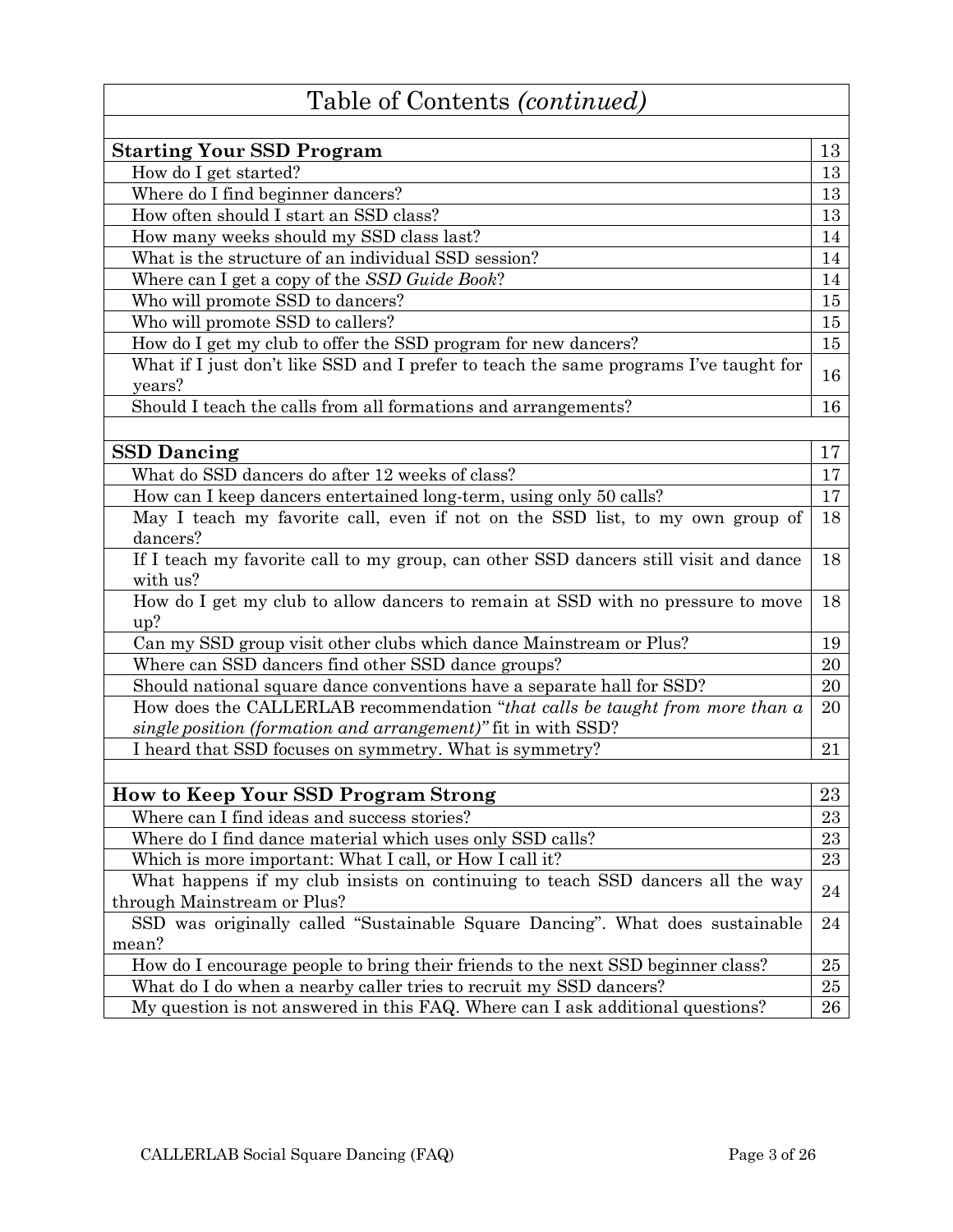| Table of Contents (continued)                                                                    |    |
|--------------------------------------------------------------------------------------------------|----|
| <b>Starting Your SSD Program</b>                                                                 | 13 |
| How do I get started?                                                                            | 13 |
| Where do I find beginner dancers?                                                                | 13 |
| How often should I start an SSD class?                                                           | 13 |
| How many weeks should my SSD class last?                                                         | 14 |
| What is the structure of an individual SSD session?                                              | 14 |
| Where can I get a copy of the SSD Guide Book?                                                    | 14 |
| Who will promote SSD to dancers?                                                                 | 15 |
| Who will promote SSD to callers?                                                                 | 15 |
| How do I get my club to offer the SSD program for new dancers?                                   | 15 |
| What if I just don't like SSD and I prefer to teach the same programs I've taught for            |    |
| years?                                                                                           | 16 |
| Should I teach the calls from all formations and arrangements?                                   | 16 |
|                                                                                                  |    |
| <b>SSD Dancing</b>                                                                               | 17 |
| What do SSD dancers do after 12 weeks of class?                                                  | 17 |
| How can I keep dancers entertained long-term, using only 50 calls?                               | 17 |
| May I teach my favorite call, even if not on the SSD list, to my own group of                    | 18 |
| dancers?                                                                                         |    |
| If I teach my favorite call to my group, can other SSD dancers still visit and dance<br>with us? | 18 |
| How do I get my club to allow dancers to remain at SSD with no pressure to move<br>up?           | 18 |
| Can my SSD group visit other clubs which dance Mainstream or Plus?                               | 19 |
| Where can SSD dancers find other SSD dance groups?                                               | 20 |
| Should national square dance conventions have a separate hall for SSD?                           | 20 |
| How does the CALLERLAB recommendation "that calls be taught from more than a                     | 20 |
| single position (formation and arrangement)" fit in with SSD?                                    |    |
| I heard that SSD focuses on symmetry. What is symmetry?                                          | 21 |
|                                                                                                  |    |
| <b>How to Keep Your SSD Program Strong</b>                                                       | 23 |
| Where can I find ideas and success stories?                                                      | 23 |
| Where do I find dance material which uses only SSD calls?                                        | 23 |
| Which is more important: What I call, or How I call it?                                          | 23 |
| What happens if my club insists on continuing to teach SSD dancers all the way                   |    |
| through Mainstream or Plus?                                                                      | 24 |
| SSD was originally called "Sustainable Square Dancing". What does sustainable                    | 24 |
| mean?                                                                                            |    |
| How do I encourage people to bring their friends to the next SSD beginner class?                 | 25 |
| What do I do when a nearby caller tries to recruit my SSD dancers?                               | 25 |
| My question is not answered in this FAQ. Where can I ask additional questions?                   | 26 |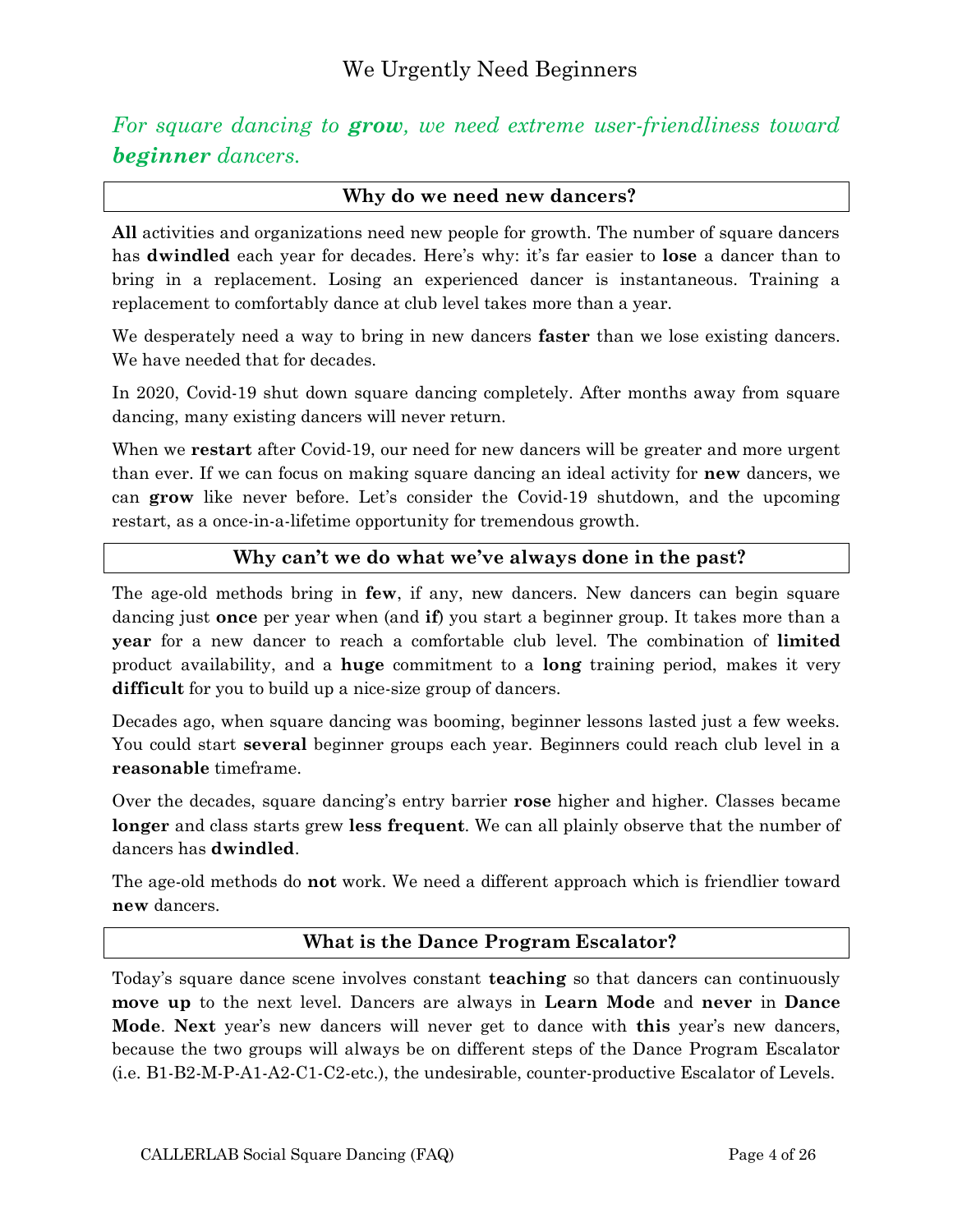<span id="page-3-0"></span>*For square dancing to grow, we need extreme user-friendliness toward beginner dancers.*

#### <span id="page-3-1"></span>**Why do we need new dancers?**

**All** activities and organizations need new people for growth. The number of square dancers has **dwindled** each year for decades. Here's why: it's far easier to **lose** a dancer than to bring in a replacement. Losing an experienced dancer is instantaneous. Training a replacement to comfortably dance at club level takes more than a year.

We desperately need a way to bring in new dancers **faster** than we lose existing dancers. We have needed that for decades.

In 2020, Covid-19 shut down square dancing completely. After months away from square dancing, many existing dancers will never return.

When we **restart** after Covid-19, our need for new dancers will be greater and more urgent than ever. If we can focus on making square dancing an ideal activity for **new** dancers, we can **grow** like never before. Let's consider the Covid-19 shutdown, and the upcoming restart, as a once-in-a-lifetime opportunity for tremendous growth.

#### <span id="page-3-2"></span>**Why can't we do what we've always done in the past?**

The age-old methods bring in **few**, if any, new dancers. New dancers can begin square dancing just **once** per year when (and **if**) you start a beginner group. It takes more than a **year** for a new dancer to reach a comfortable club level. The combination of **limited** product availability, and a **huge** commitment to a **long** training period, makes it very **difficult** for you to build up a nice-size group of dancers.

Decades ago, when square dancing was booming, beginner lessons lasted just a few weeks. You could start **several** beginner groups each year. Beginners could reach club level in a **reasonable** timeframe.

Over the decades, square dancing's entry barrier **rose** higher and higher. Classes became **longer** and class starts grew **less frequent**. We can all plainly observe that the number of dancers has **dwindled**.

The age-old methods do **not** work. We need a different approach which is friendlier toward **new** dancers.

#### <span id="page-3-3"></span>**What is the Dance Program Escalator?**

Today's square dance scene involves constant **teaching** so that dancers can continuously **move up** to the next level. Dancers are always in **Learn Mode** and **never** in **Dance Mode**. **Next** year's new dancers will never get to dance with **this** year's new dancers, because the two groups will always be on different steps of the Dance Program Escalator (i.e. B1-B2-M-P-A1-A2-C1-C2-etc.), the undesirable, counter-productive Escalator of Levels.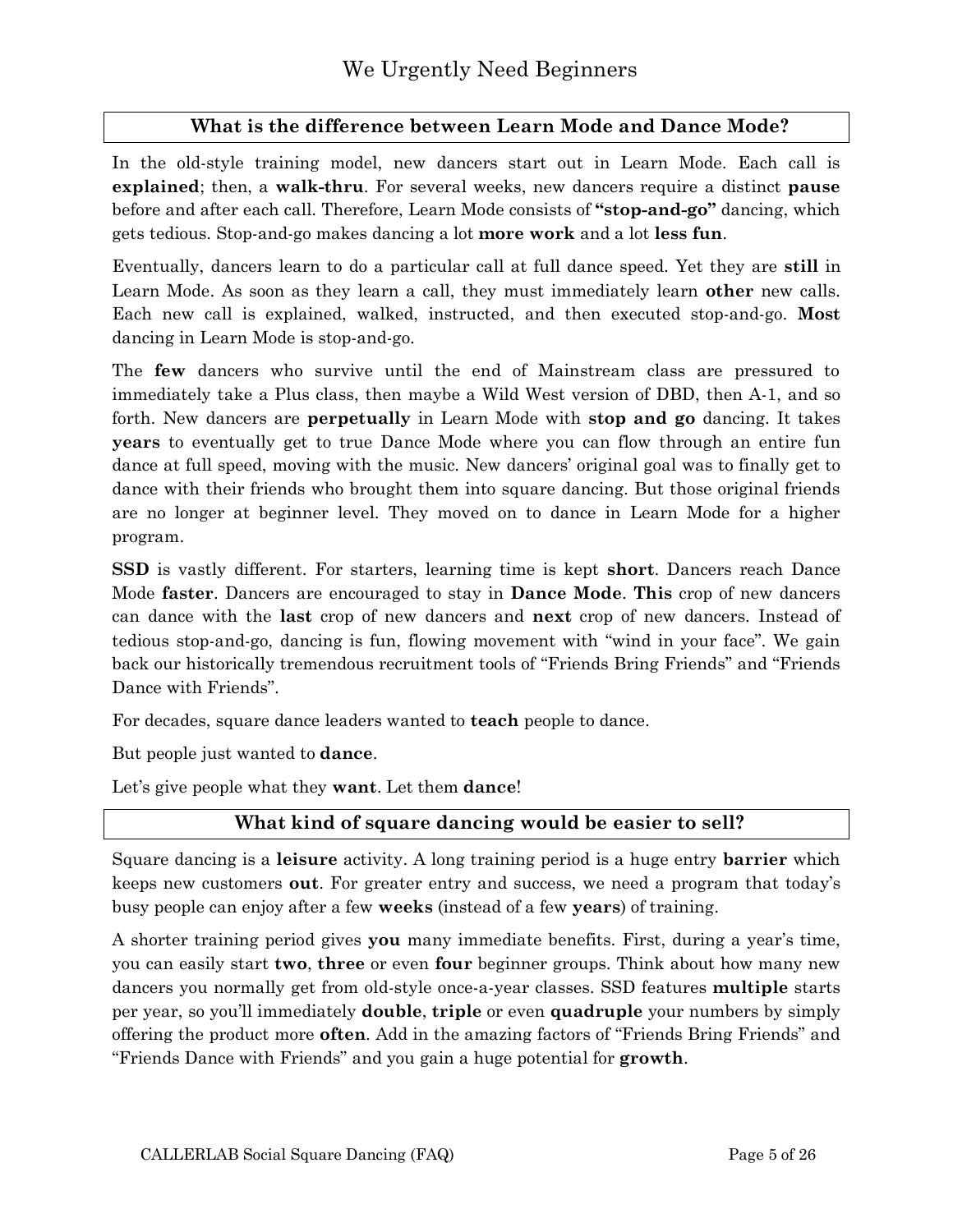#### <span id="page-4-0"></span>**What is the difference between Learn Mode and Dance Mode?**

In the old-style training model, new dancers start out in Learn Mode. Each call is **explained**; then, a **walk-thru**. For several weeks, new dancers require a distinct **pause** before and after each call. Therefore, Learn Mode consists of **"stop-and-go"** dancing, which gets tedious. Stop-and-go makes dancing a lot **more work** and a lot **less fun**.

Eventually, dancers learn to do a particular call at full dance speed. Yet they are **still** in Learn Mode. As soon as they learn a call, they must immediately learn **other** new calls. Each new call is explained, walked, instructed, and then executed stop-and-go. **Most** dancing in Learn Mode is stop-and-go.

The **few** dancers who survive until the end of Mainstream class are pressured to immediately take a Plus class, then maybe a Wild West version of DBD, then A-1, and so forth. New dancers are **perpetually** in Learn Mode with **stop and go** dancing. It takes **years** to eventually get to true Dance Mode where you can flow through an entire fun dance at full speed, moving with the music. New dancers' original goal was to finally get to dance with their friends who brought them into square dancing. But those original friends are no longer at beginner level. They moved on to dance in Learn Mode for a higher program.

**SSD** is vastly different. For starters, learning time is kept **short**. Dancers reach Dance Mode **faster**. Dancers are encouraged to stay in **Dance Mode**. **This** crop of new dancers can dance with the **last** crop of new dancers and **next** crop of new dancers. Instead of tedious stop-and-go, dancing is fun, flowing movement with "wind in your face". We gain back our historically tremendous recruitment tools of "Friends Bring Friends" and "Friends Dance with Friends".

For decades, square dance leaders wanted to **teach** people to dance.

But people just wanted to **dance**.

Let's give people what they **want**. Let them **dance**!

#### <span id="page-4-1"></span>**What kind of square dancing would be easier to sell?**

Square dancing is a **leisure** activity. A long training period is a huge entry **barrier** which keeps new customers **out**. For greater entry and success, we need a program that today's busy people can enjoy after a few **weeks** (instead of a few **years**) of training.

A shorter training period gives **you** many immediate benefits. First, during a year's time, you can easily start **two**, **three** or even **four** beginner groups. Think about how many new dancers you normally get from old-style once-a-year classes. SSD features **multiple** starts per year, so you'll immediately **double**, **triple** or even **quadruple** your numbers by simply offering the product more **often**. Add in the amazing factors of "Friends Bring Friends" and "Friends Dance with Friends" and you gain a huge potential for **growth**.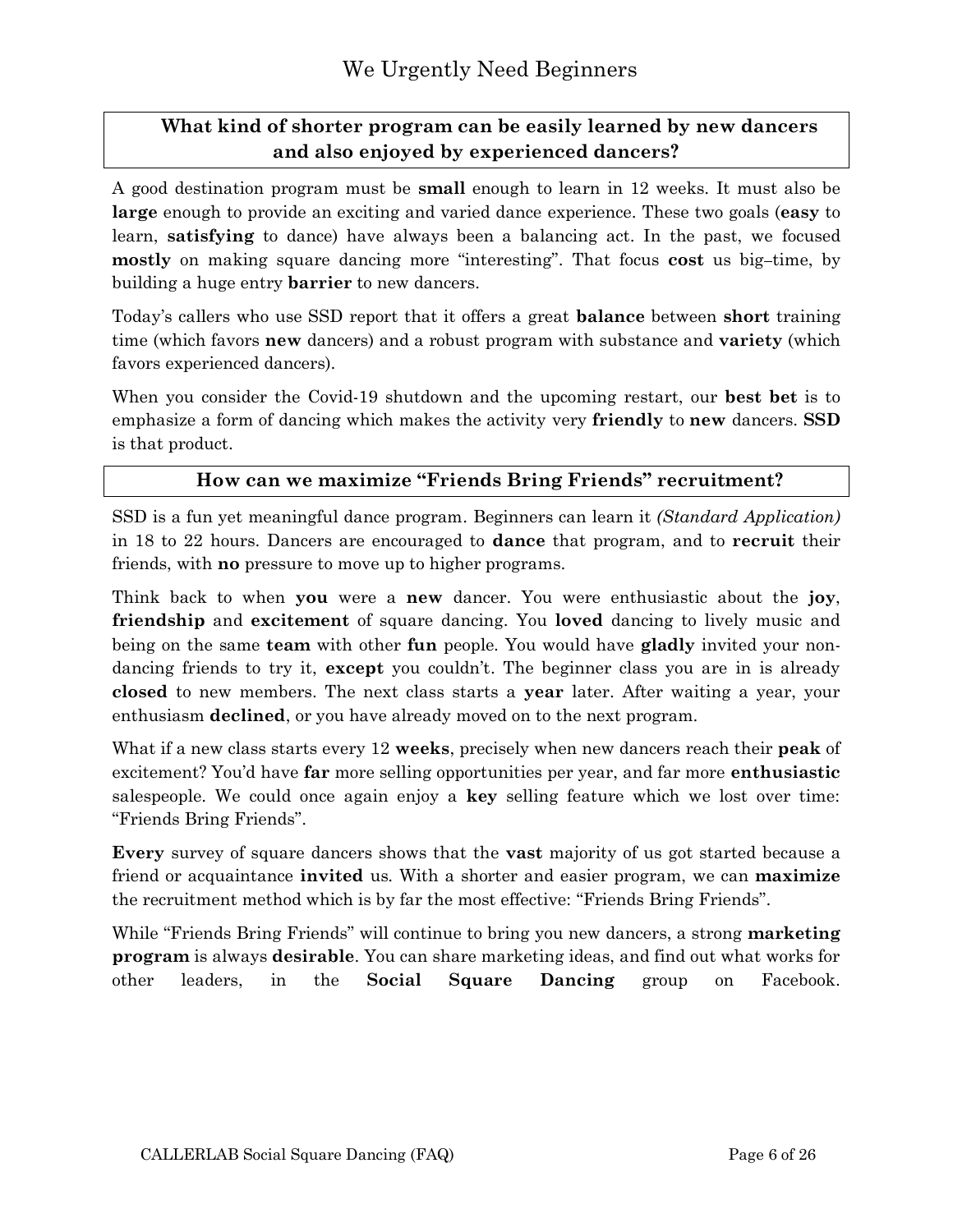## <span id="page-5-0"></span>**What kind of shorter program can be easily learned by new dancers and also enjoyed by experienced dancers?**

A good destination program must be **small** enough to learn in 12 weeks. It must also be **large** enough to provide an exciting and varied dance experience. These two goals (**easy** to learn, **satisfying** to dance) have always been a balancing act. In the past, we focused **mostly** on making square dancing more "interesting". That focus **cost** us big-time, by building a huge entry **barrier** to new dancers.

Today's callers who use SSD report that it offers a great **balance** between **short** training time (which favors **new** dancers) and a robust program with substance and **variety** (which favors experienced dancers).

When you consider the Covid-19 shutdown and the upcoming restart, our **best bet** is to emphasize a form of dancing which makes the activity very **friendly** to **new** dancers. **SSD** is that product.

#### <span id="page-5-1"></span>**How can we maximize "Friends Bring Friends" recruitment?**

SSD is a fun yet meaningful dance program. Beginners can learn it *(Standard Application)* in 18 to 22 hours. Dancers are encouraged to **dance** that program, and to **recruit** their friends, with **no** pressure to move up to higher programs.

Think back to when **you** were a **new** dancer. You were enthusiastic about the **joy**, **friendship** and **excitement** of square dancing. You **loved** dancing to lively music and being on the same **team** with other **fun** people. You would have **gladly** invited your nondancing friends to try it, **except** you couldn't. The beginner class you are in is already **closed** to new members. The next class starts a **year** later. After waiting a year, your enthusiasm **declined**, or you have already moved on to the next program.

What if a new class starts every 12 **weeks**, precisely when new dancers reach their **peak** of excitement? You'd have **far** more selling opportunities per year, and far more **enthusiastic** salespeople. We could once again enjoy a **key** selling feature which we lost over time: "Friends Bring Friends".

**Every** survey of square dancers shows that the **vast** majority of us got started because a friend or acquaintance **invited** us. With a shorter and easier program, we can **maximize** the recruitment method which is by far the most effective: "Friends Bring Friends".

While "Friends Bring Friends" will continue to bring you new dancers, a strong **marketing program** is always **desirable**. You can share marketing ideas, and find out what works for other leaders, in the **Social Square Dancing** group on Facebook.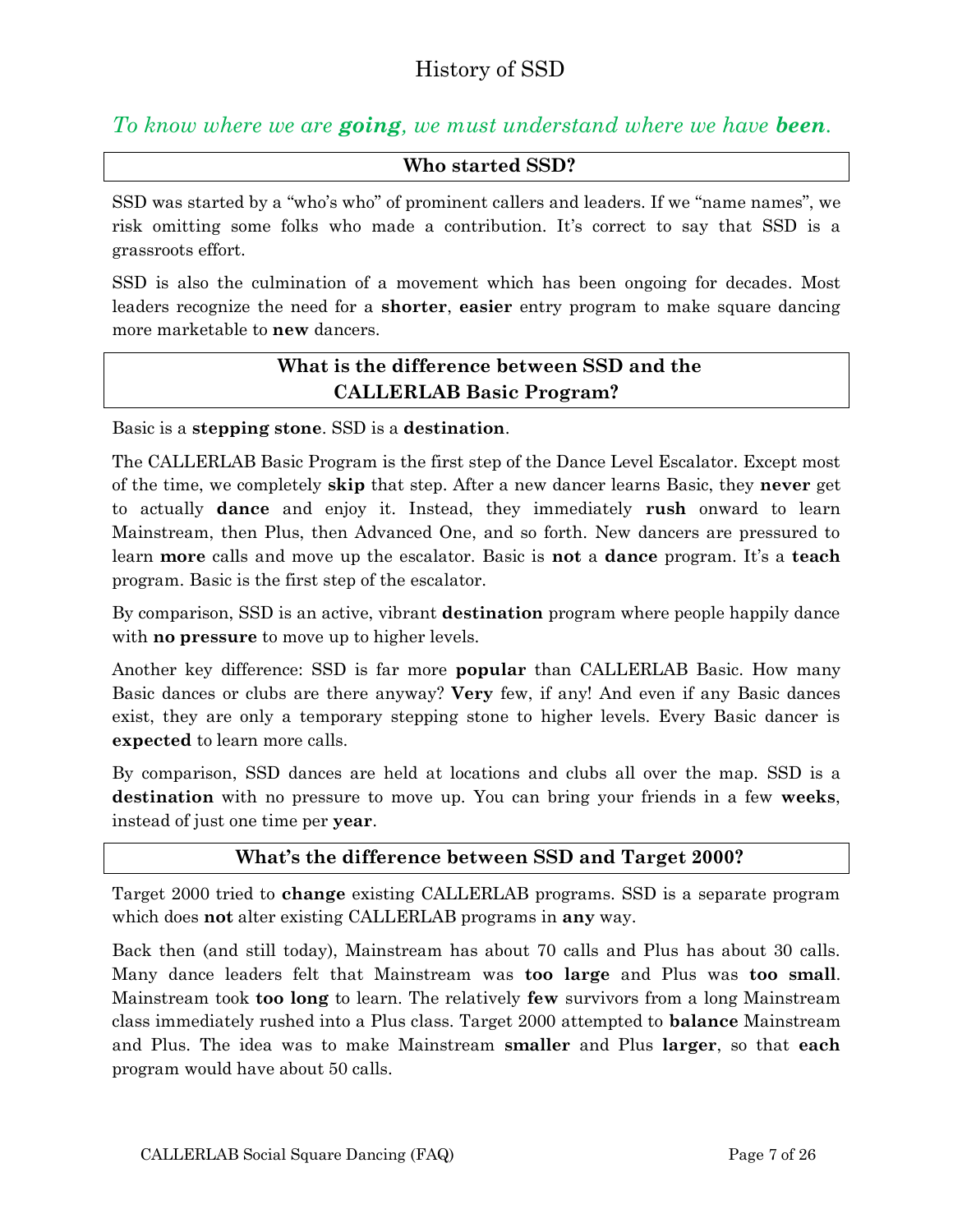## <span id="page-6-0"></span>*To know where we are going, we must understand where we have been.*

#### <span id="page-6-1"></span>**Who started SSD?**

SSD was started by a "who's who" of prominent callers and leaders. If we "name names", we risk omitting some folks who made a contribution. It's correct to say that SSD is a grassroots effort.

SSD is also the culmination of a movement which has been ongoing for decades. Most leaders recognize the need for a **shorter**, **easier** entry program to make square dancing more marketable to **new** dancers.

## <span id="page-6-2"></span>**What is the difference between SSD and the CALLERLAB Basic Program?**

Basic is a **stepping stone**. SSD is a **destination**.

The CALLERLAB Basic Program is the first step of the Dance Level Escalator. Except most of the time, we completely **skip** that step. After a new dancer learns Basic, they **never** get to actually **dance** and enjoy it. Instead, they immediately **rush** onward to learn Mainstream, then Plus, then Advanced One, and so forth. New dancers are pressured to learn **more** calls and move up the escalator. Basic is **not** a **dance** program. It's a **teach** program. Basic is the first step of the escalator.

By comparison, SSD is an active, vibrant **destination** program where people happily dance with **no pressure** to move up to higher levels.

Another key difference: SSD is far more **popular** than CALLERLAB Basic. How many Basic dances or clubs are there anyway? **Very** few, if any! And even if any Basic dances exist, they are only a temporary stepping stone to higher levels. Every Basic dancer is **expected** to learn more calls.

By comparison, SSD dances are held at locations and clubs all over the map. SSD is a **destination** with no pressure to move up. You can bring your friends in a few **weeks**, instead of just one time per **year**.

#### <span id="page-6-3"></span>**What's the difference between SSD and Target 2000?**

Target 2000 tried to **change** existing CALLERLAB programs. SSD is a separate program which does **not** alter existing CALLERLAB programs in **any** way.

Back then (and still today), Mainstream has about 70 calls and Plus has about 30 calls. Many dance leaders felt that Mainstream was **too large** and Plus was **too small**. Mainstream took **too long** to learn. The relatively **few** survivors from a long Mainstream class immediately rushed into a Plus class. Target 2000 attempted to **balance** Mainstream and Plus. The idea was to make Mainstream **smaller** and Plus **larger**, so that **each** program would have about 50 calls.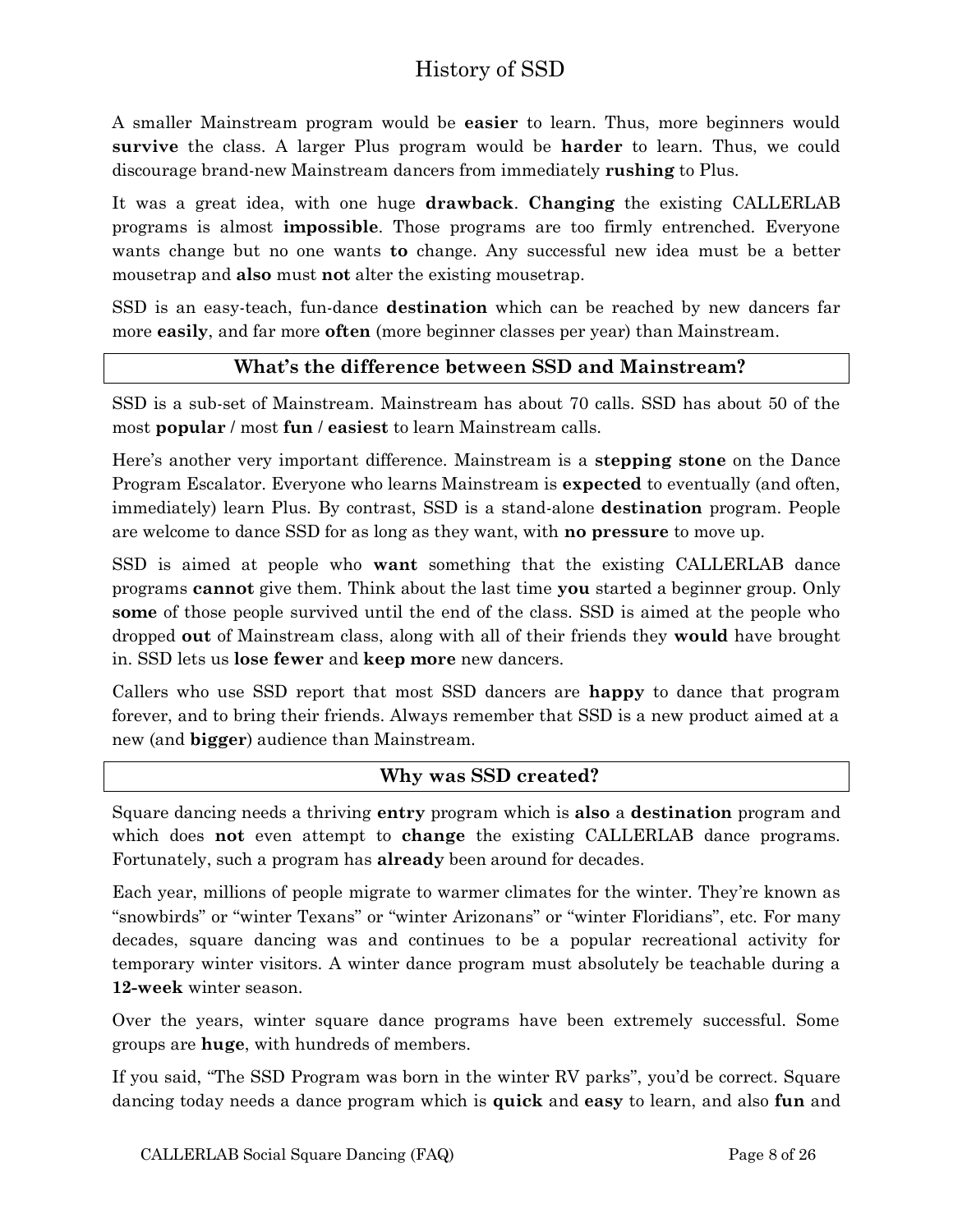## History of SSD

A smaller Mainstream program would be **easier** to learn. Thus, more beginners would **survive** the class. A larger Plus program would be **harder** to learn. Thus, we could discourage brand-new Mainstream dancers from immediately **rushing** to Plus.

It was a great idea, with one huge **drawback**. **Changing** the existing CALLERLAB programs is almost **impossible**. Those programs are too firmly entrenched. Everyone wants change but no one wants **to** change. Any successful new idea must be a better mousetrap and **also** must **not** alter the existing mousetrap.

SSD is an easy-teach, fun-dance **destination** which can be reached by new dancers far more **easily**, and far more **often** (more beginner classes per year) than Mainstream.

#### <span id="page-7-0"></span>**What's the difference between SSD and Mainstream?**

SSD is a sub-set of Mainstream. Mainstream has about 70 calls. SSD has about 50 of the most **popular** / most **fun** / **easiest** to learn Mainstream calls.

Here's another very important difference. Mainstream is a **stepping stone** on the Dance Program Escalator. Everyone who learns Mainstream is **expected** to eventually (and often, immediately) learn Plus. By contrast, SSD is a stand-alone **destination** program. People are welcome to dance SSD for as long as they want, with **no pressure** to move up.

SSD is aimed at people who **want** something that the existing CALLERLAB dance programs **cannot** give them. Think about the last time **you** started a beginner group. Only **some** of those people survived until the end of the class. SSD is aimed at the people who dropped **out** of Mainstream class, along with all of their friends they **would** have brought in. SSD lets us **lose fewer** and **keep more** new dancers.

Callers who use SSD report that most SSD dancers are **happy** to dance that program forever, and to bring their friends. Always remember that SSD is a new product aimed at a new (and **bigger**) audience than Mainstream.

#### <span id="page-7-1"></span>**Why was SSD created?**

Square dancing needs a thriving **entry** program which is **also** a **destination** program and which does **not** even attempt to **change** the existing CALLERLAB dance programs. Fortunately, such a program has **already** been around for decades.

Each year, millions of people migrate to warmer climates for the winter. They're known as "snowbirds" or "winter Texans" or "winter Arizonans" or "winter Floridians", etc. For many decades, square dancing was and continues to be a popular recreational activity for temporary winter visitors. A winter dance program must absolutely be teachable during a **12-week** winter season.

Over the years, winter square dance programs have been extremely successful. Some groups are **huge**, with hundreds of members.

If you said, "The SSD Program was born in the winter RV parks", you'd be correct. Square dancing today needs a dance program which is **quick** and **easy** to learn, and also **fun** and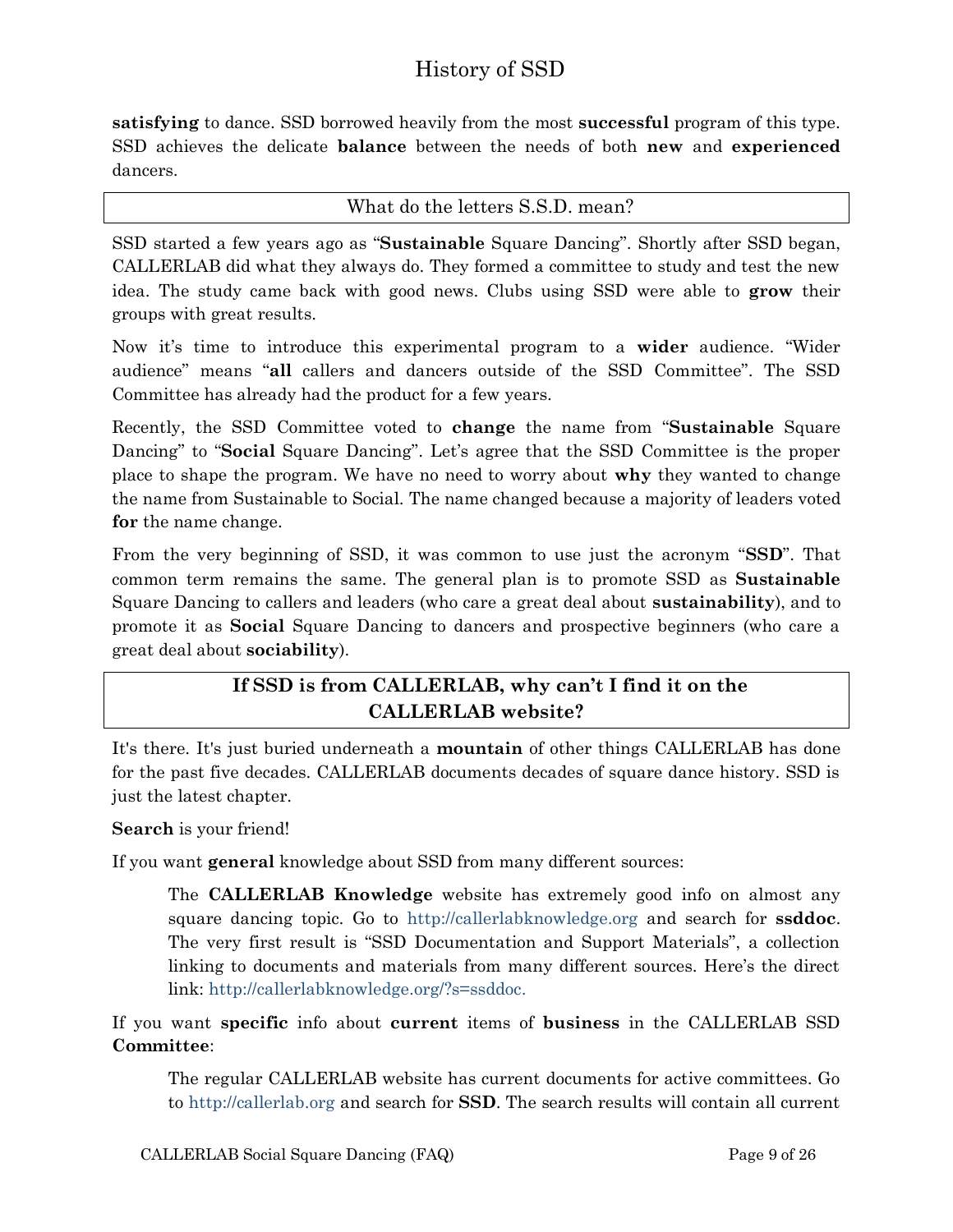## History of SSD

**satisfying** to dance. SSD borrowed heavily from the most **successful** program of this type. SSD achieves the delicate **balance** between the needs of both **new** and **experienced** dancers.

<span id="page-8-0"></span>What do the letters S.S.D. mean?

SSD started a few years ago as "**Sustainable** Square Dancing". Shortly after SSD began, CALLERLAB did what they always do. They formed a committee to study and test the new idea. The study came back with good news. Clubs using SSD were able to **grow** their groups with great results.

Now it's time to introduce this experimental program to a **wider** audience. "Wider audience" means "**all** callers and dancers outside of the SSD Committee". The SSD Committee has already had the product for a few years.

Recently, the SSD Committee voted to **change** the name from "**Sustainable** Square Dancing" to "**Social** Square Dancing". Let's agree that the SSD Committee is the proper place to shape the program. We have no need to worry about **why** they wanted to change the name from Sustainable to Social. The name changed because a majority of leaders voted **for** the name change.

From the very beginning of SSD, it was common to use just the acronym "**SSD**". That common term remains the same. The general plan is to promote SSD as **Sustainable** Square Dancing to callers and leaders (who care a great deal about **sustainability**), and to promote it as **Social** Square Dancing to dancers and prospective beginners (who care a great deal about **sociability**).

## <span id="page-8-1"></span>**If SSD is from CALLERLAB, why can't I find it on the CALLERLAB website?**

It's there. It's just buried underneath a **mountain** of other things CALLERLAB has done for the past five decades. CALLERLAB documents decades of square dance history. SSD is just the latest chapter.

**Search** is your friend!

If you want **general** knowledge about SSD from many different sources:

The **CALLERLAB Knowledge** website has extremely good info on almost any square dancing topic. Go to [http://callerlabknowledge.org](http://callerlabknowledge.org/) and search for **ssddoc**. The very first result is "SSD Documentation and Support Materials", a collection linking to documents and materials from many different sources. Here's the direct link: [http://callerlabknowledge.org/?s=ssddoc.](http://callerlabknowledge.org/?s=ssddoc)

If you want **specific** info about **current** items of **business** in the CALLERLAB SSD **Committee**:

The regular CALLERLAB website has current documents for active committees. Go to [http://callerlab.org](http://callerlab.org/) and search for **SSD**. The search results will contain all current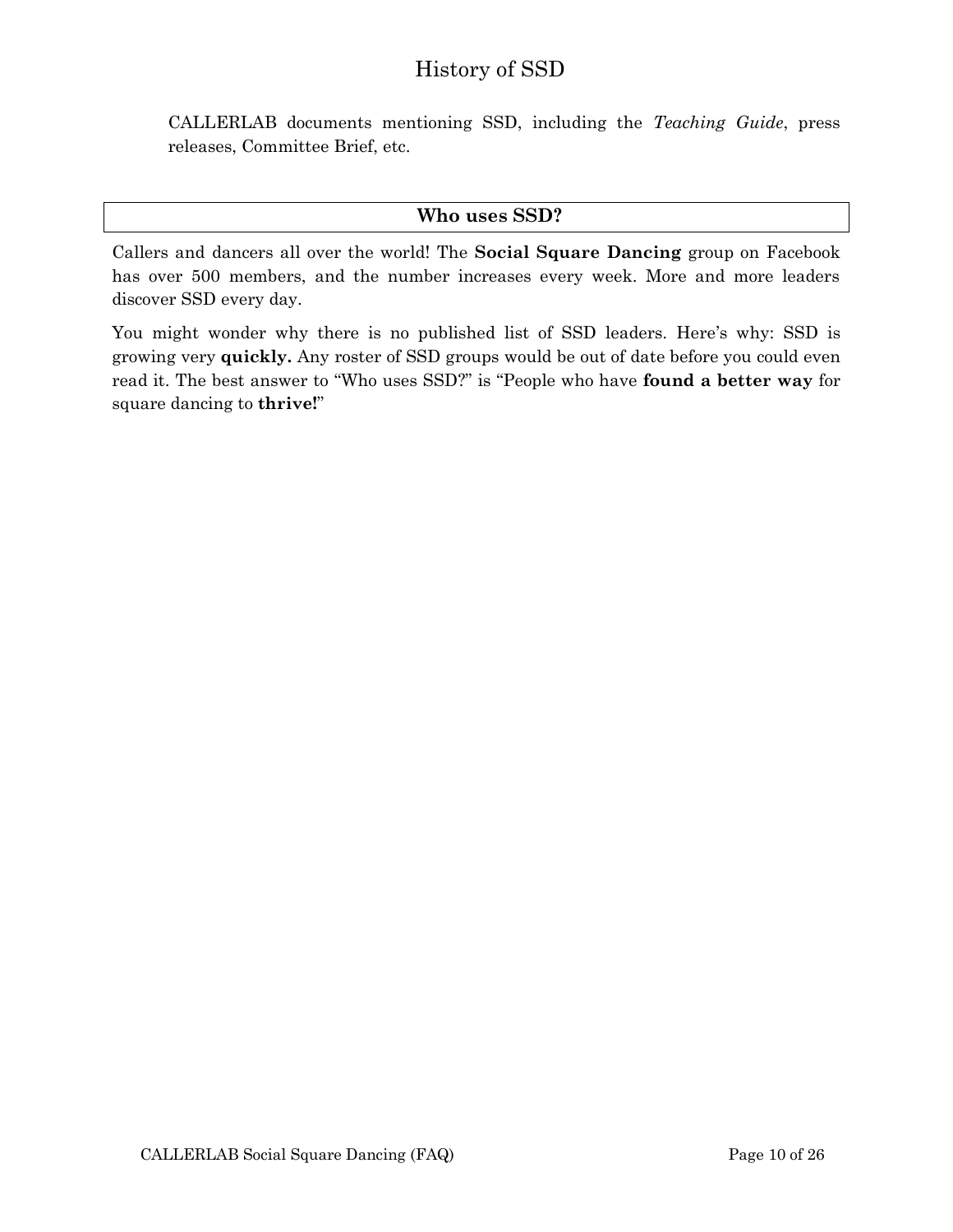## History of SSD

CALLERLAB documents mentioning SSD, including the *Teaching Guide*, press releases, Committee Brief, etc.

#### <span id="page-9-0"></span>**Who uses SSD?**

Callers and dancers all over the world! The **Social Square Dancing** group on Facebook has over 500 members, and the number increases every week. More and more leaders discover SSD every day.

You might wonder why there is no published list of SSD leaders. Here's why: SSD is growing very **quickly.** Any roster of SSD groups would be out of date before you could even read it. The best answer to "Who uses SSD?" is "People who have **found a better way** for square dancing to **thrive!**"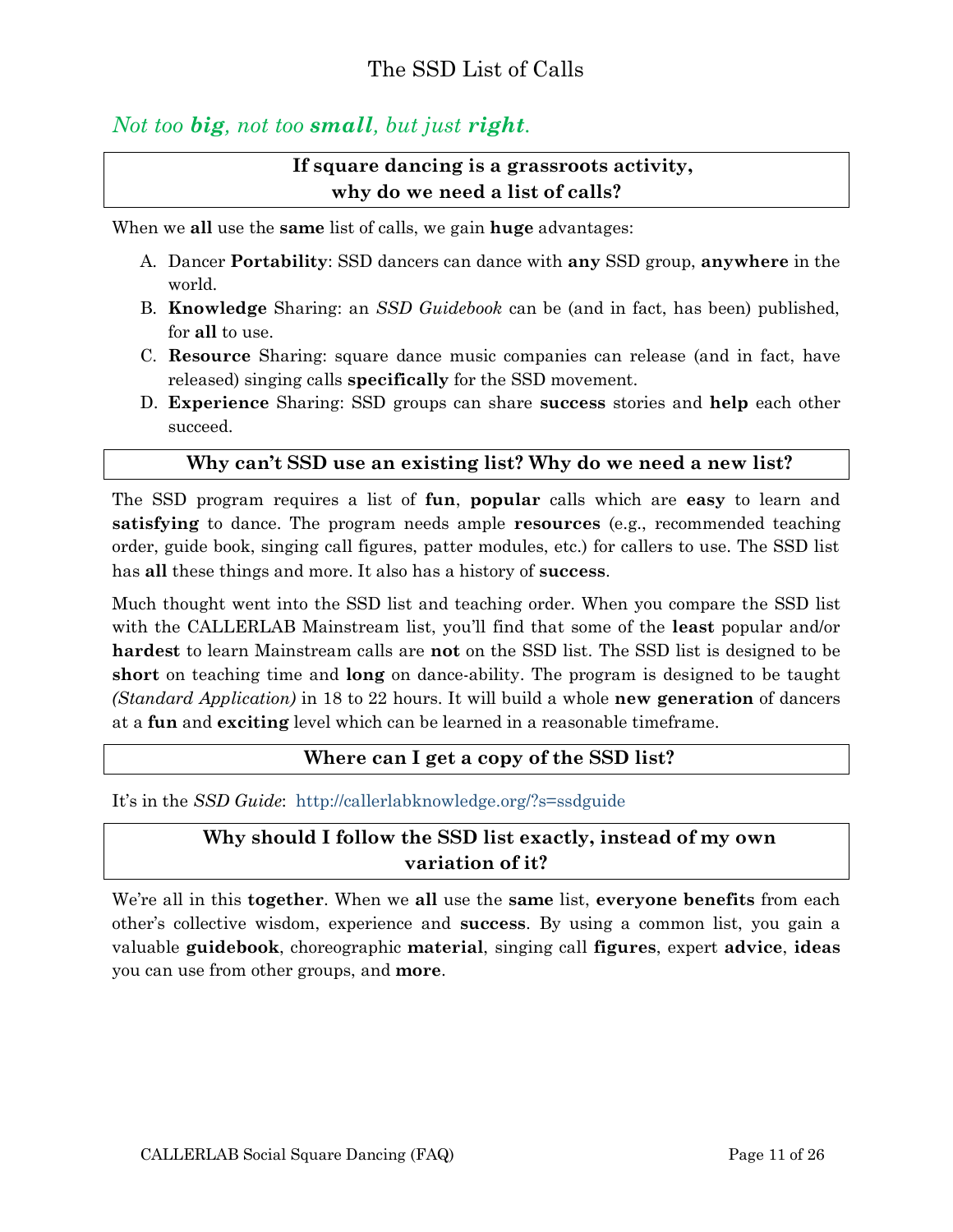## <span id="page-10-0"></span>*Not too big, not too small, but just right.*

## <span id="page-10-1"></span>**If square dancing is a grassroots activity, why do we need a list of calls?**

When we **all** use the **same** list of calls, we gain **huge** advantages:

- A. Dancer **Portability**: SSD dancers can dance with **any** SSD group, **anywhere** in the world.
- B. **Knowledge** Sharing: an *SSD Guidebook* can be (and in fact, has been) published, for **all** to use.
- C. **Resource** Sharing: square dance music companies can release (and in fact, have released) singing calls **specifically** for the SSD movement.
- D. **Experience** Sharing: SSD groups can share **success** stories and **help** each other succeed.

#### <span id="page-10-2"></span>**Why can't SSD use an existing list? Why do we need a new list?**

The SSD program requires a list of **fun**, **popular** calls which are **easy** to learn and **satisfying** to dance. The program needs ample **resources** (e.g., recommended teaching order, guide book, singing call figures, patter modules, etc.) for callers to use. The SSD list has **all** these things and more. It also has a history of **success**.

Much thought went into the SSD list and teaching order. When you compare the SSD list with the CALLERLAB Mainstream list, you'll find that some of the **least** popular and/or **hardest** to learn Mainstream calls are **not** on the SSD list. The SSD list is designed to be **short** on teaching time and **long** on dance-ability. The program is designed to be taught *(Standard Application)* in 18 to 22 hours. It will build a whole **new generation** of dancers at a **fun** and **exciting** level which can be learned in a reasonable timeframe.

#### <span id="page-10-3"></span>**Where can I get a copy of the SSD list?**

It's in the *SSD Guide*: <http://callerlabknowledge.org/?s=ssdguide>

## <span id="page-10-4"></span>**Why should I follow the SSD list exactly, instead of my own variation of it?**

We're all in this **together**. When we **all** use the **same** list, **everyone benefits** from each other's collective wisdom, experience and **success**. By using a common list, you gain a valuable **guidebook**, choreographic **material**, singing call **figures**, expert **advice**, **ideas** you can use from other groups, and **more**.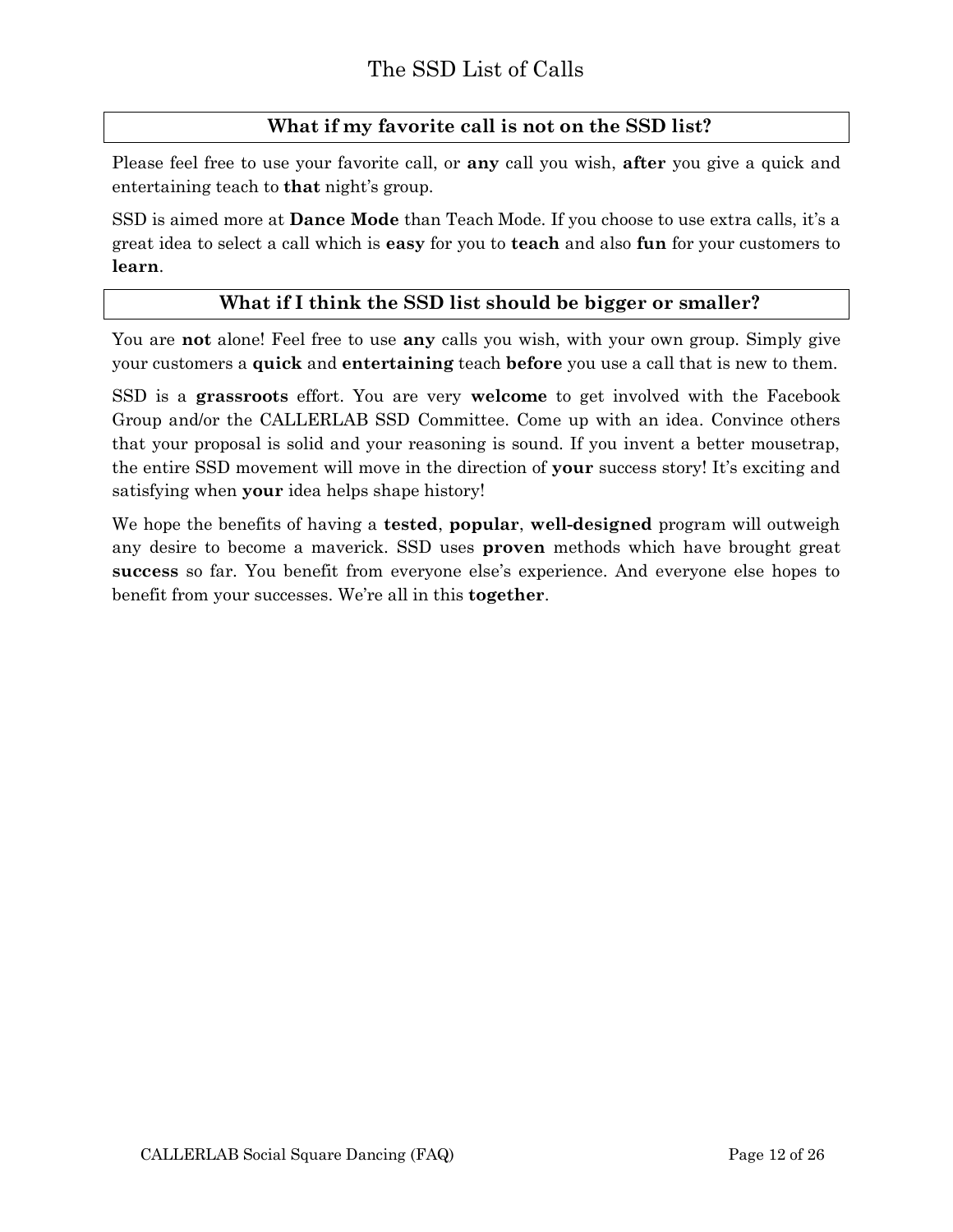## <span id="page-11-0"></span>**What if my favorite call is not on the SSD list?**

Please feel free to use your favorite call, or **any** call you wish, **after** you give a quick and entertaining teach to **that** night's group.

SSD is aimed more at **Dance Mode** than Teach Mode. If you choose to use extra calls, it's a great idea to select a call which is **easy** for you to **teach** and also **fun** for your customers to **learn**.

#### <span id="page-11-1"></span>**What if I think the SSD list should be bigger or smaller?**

You are **not** alone! Feel free to use **any** calls you wish, with your own group. Simply give your customers a **quick** and **entertaining** teach **before** you use a call that is new to them.

SSD is a **grassroots** effort. You are very **welcome** to get involved with the Facebook Group and/or the CALLERLAB SSD Committee. Come up with an idea. Convince others that your proposal is solid and your reasoning is sound. If you invent a better mousetrap, the entire SSD movement will move in the direction of **your** success story! It's exciting and satisfying when **your** idea helps shape history!

We hope the benefits of having a **tested**, **popular**, **well-designed** program will outweigh any desire to become a maverick. SSD uses **proven** methods which have brought great **success** so far. You benefit from everyone else's experience. And everyone else hopes to benefit from your successes. We're all in this **together**.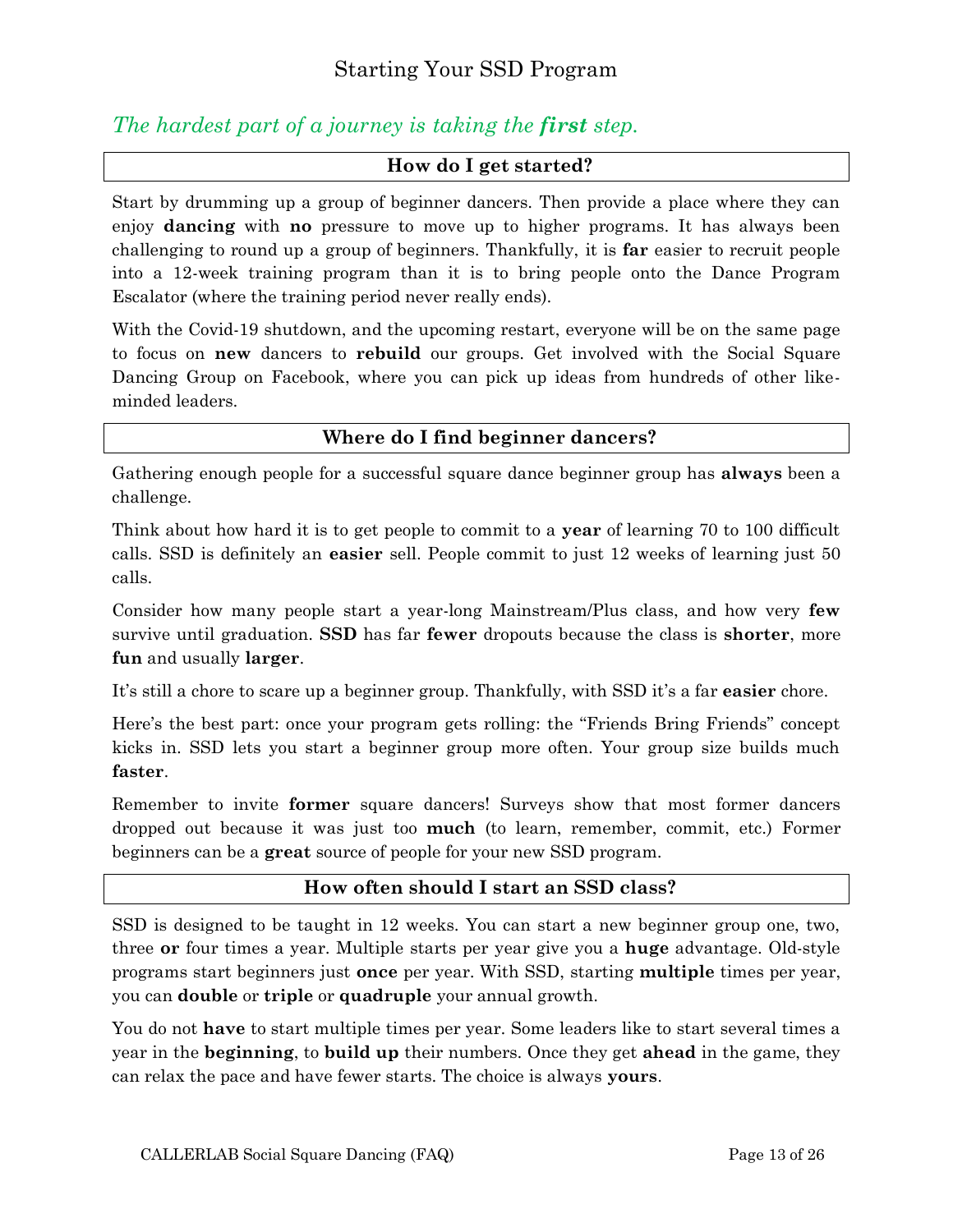## <span id="page-12-0"></span>*The hardest part of a journey is taking the first step.*

#### <span id="page-12-1"></span>**How do I get started?**

Start by drumming up a group of beginner dancers. Then provide a place where they can enjoy **dancing** with **no** pressure to move up to higher programs. It has always been challenging to round up a group of beginners. Thankfully, it is **far** easier to recruit people into a 12-week training program than it is to bring people onto the Dance Program Escalator (where the training period never really ends).

With the Covid-19 shutdown, and the upcoming restart, everyone will be on the same page to focus on **new** dancers to **rebuild** our groups. Get involved with the Social Square Dancing Group on Facebook, where you can pick up ideas from hundreds of other likeminded leaders.

#### <span id="page-12-2"></span>**Where do I find beginner dancers?**

Gathering enough people for a successful square dance beginner group has **always** been a challenge.

Think about how hard it is to get people to commit to a **year** of learning 70 to 100 difficult calls. SSD is definitely an **easier** sell. People commit to just 12 weeks of learning just 50 calls.

Consider how many people start a year-long Mainstream/Plus class, and how very **few** survive until graduation. **SSD** has far **fewer** dropouts because the class is **shorter**, more **fun** and usually **larger**.

It's still a chore to scare up a beginner group. Thankfully, with SSD it's a far **easier** chore.

Here's the best part: once your program gets rolling: the "Friends Bring Friends" concept kicks in. SSD lets you start a beginner group more often. Your group size builds much **faster**.

Remember to invite **former** square dancers! Surveys show that most former dancers dropped out because it was just too **much** (to learn, remember, commit, etc.) Former beginners can be a **great** source of people for your new SSD program.

#### <span id="page-12-3"></span>**How often should I start an SSD class?**

SSD is designed to be taught in 12 weeks. You can start a new beginner group one, two, three **or** four times a year. Multiple starts per year give you a **huge** advantage. Old-style programs start beginners just **once** per year. With SSD, starting **multiple** times per year, you can **double** or **triple** or **quadruple** your annual growth.

You do not **have** to start multiple times per year. Some leaders like to start several times a year in the **beginning**, to **build up** their numbers. Once they get **ahead** in the game, they can relax the pace and have fewer starts. The choice is always **yours**.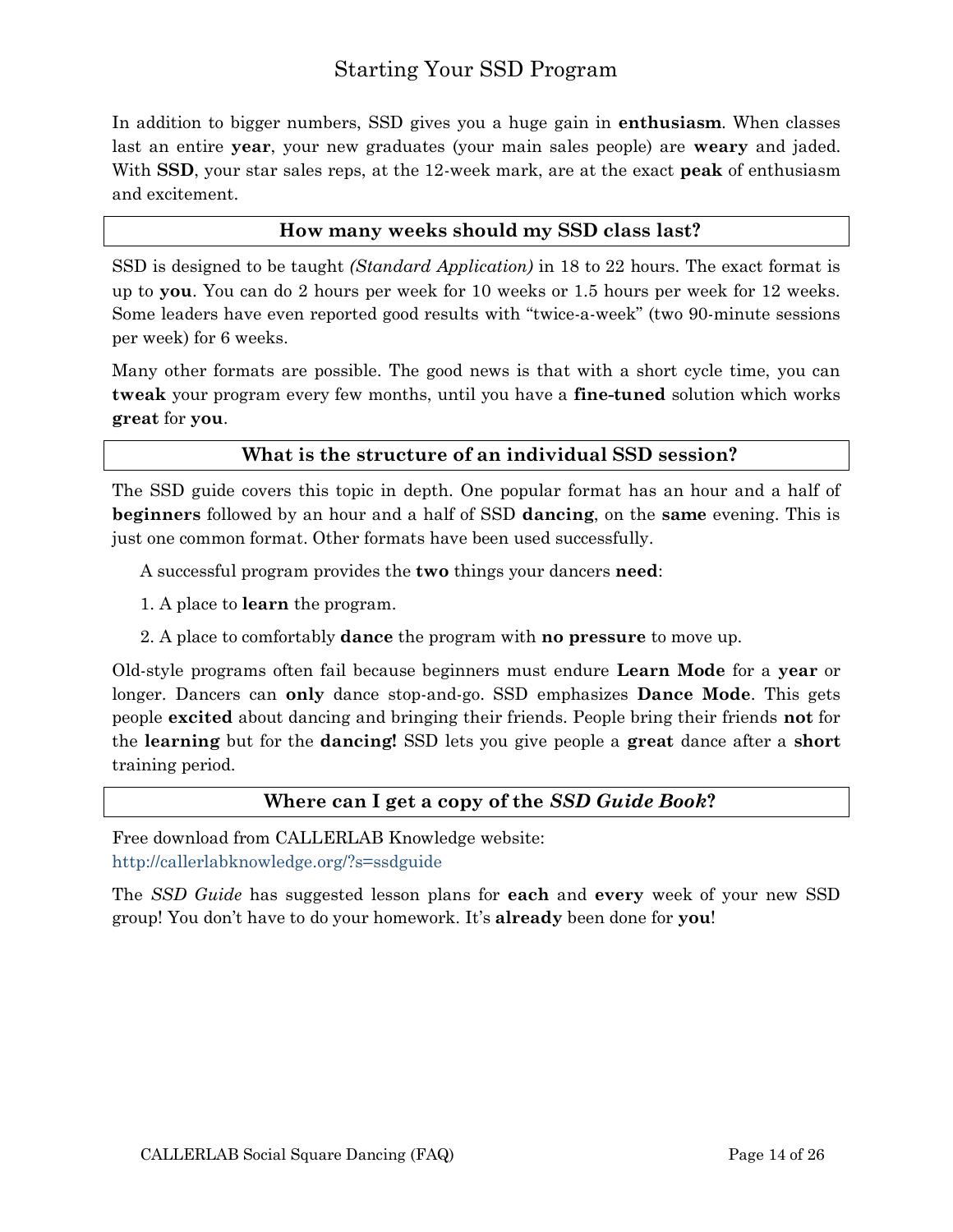## Starting Your SSD Program

In addition to bigger numbers, SSD gives you a huge gain in **enthusiasm**. When classes last an entire **year**, your new graduates (your main sales people) are **weary** and jaded. With **SSD**, your star sales reps, at the 12-week mark, are at the exact **peak** of enthusiasm and excitement.

#### <span id="page-13-0"></span>**How many weeks should my SSD class last?**

SSD is designed to be taught *(Standard Application)* in 18 to 22 hours. The exact format is up to **you**. You can do 2 hours per week for 10 weeks or 1.5 hours per week for 12 weeks. Some leaders have even reported good results with "twice-a-week" (two 90-minute sessions per week) for 6 weeks.

Many other formats are possible. The good news is that with a short cycle time, you can **tweak** your program every few months, until you have a **fine-tuned** solution which works **great** for **you**.

#### <span id="page-13-1"></span>**What is the structure of an individual SSD session?**

The SSD guide covers this topic in depth. One popular format has an hour and a half of **beginners** followed by an hour and a half of SSD **dancing**, on the **same** evening. This is just one common format. Other formats have been used successfully.

A successful program provides the **two** things your dancers **need**:

- 1. A place to **learn** the program.
- 2. A place to comfortably **dance** the program with **no pressure** to move up.

Old-style programs often fail because beginners must endure **Learn Mode** for a **year** or longer. Dancers can **only** dance stop-and-go. SSD emphasizes **Dance Mode**. This gets people **excited** about dancing and bringing their friends. People bring their friends **not** for the **learning** but for the **dancing!** SSD lets you give people a **great** dance after a **short** training period.

#### <span id="page-13-2"></span>**Where can I get a copy of the** *SSD Guide Book***?**

Free download from CALLERLAB Knowledge website:

<http://callerlabknowledge.org/?s=ssdguide>

The *SSD Guide* has suggested lesson plans for **each** and **every** week of your new SSD group! You don't have to do your homework. It's **already** been done for **you**!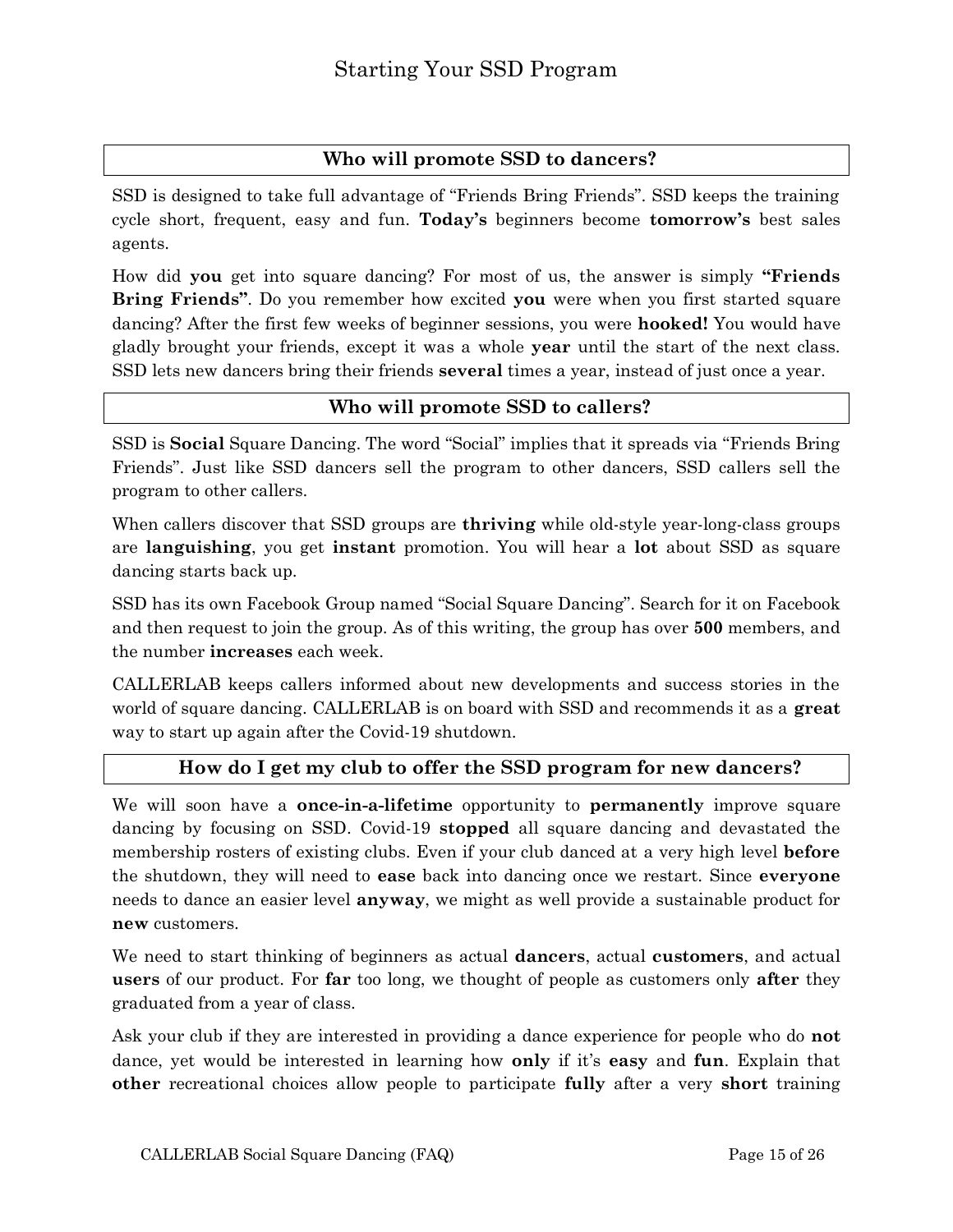#### <span id="page-14-0"></span>**Who will promote SSD to dancers?**

SSD is designed to take full advantage of "Friends Bring Friends". SSD keeps the training cycle short, frequent, easy and fun. **Today's** beginners become **tomorrow's** best sales agents.

How did **you** get into square dancing? For most of us, the answer is simply **"Friends Bring Friends"**. Do you remember how excited **you** were when you first started square dancing? After the first few weeks of beginner sessions, you were **hooked!** You would have gladly brought your friends, except it was a whole **year** until the start of the next class. SSD lets new dancers bring their friends **several** times a year, instead of just once a year.

#### <span id="page-14-1"></span>**Who will promote SSD to callers?**

SSD is **Social** Square Dancing. The word "Social" implies that it spreads via "Friends Bring Friends". Just like SSD dancers sell the program to other dancers, SSD callers sell the program to other callers.

When callers discover that SSD groups are **thriving** while old-style year-long-class groups are **languishing**, you get **instant** promotion. You will hear a **lot** about SSD as square dancing starts back up.

SSD has its own Facebook Group named "Social Square Dancing". Search for it on Facebook and then request to join the group. As of this writing, the group has over **500** members, and the number **increases** each week.

CALLERLAB keeps callers informed about new developments and success stories in the world of square dancing. CALLERLAB is on board with SSD and recommends it as a **great** way to start up again after the Covid-19 shutdown.

#### <span id="page-14-2"></span>**How do I get my club to offer the SSD program for new dancers?**

We will soon have a **once-in-a-lifetime** opportunity to **permanently** improve square dancing by focusing on SSD. Covid-19 **stopped** all square dancing and devastated the membership rosters of existing clubs. Even if your club danced at a very high level **before** the shutdown, they will need to **ease** back into dancing once we restart. Since **everyone** needs to dance an easier level **anyway**, we might as well provide a sustainable product for **new** customers.

We need to start thinking of beginners as actual **dancers**, actual **customers**, and actual **users** of our product. For **far** too long, we thought of people as customers only **after** they graduated from a year of class.

Ask your club if they are interested in providing a dance experience for people who do **not** dance, yet would be interested in learning how **only** if it's **easy** and **fun**. Explain that **other** recreational choices allow people to participate **fully** after a very **short** training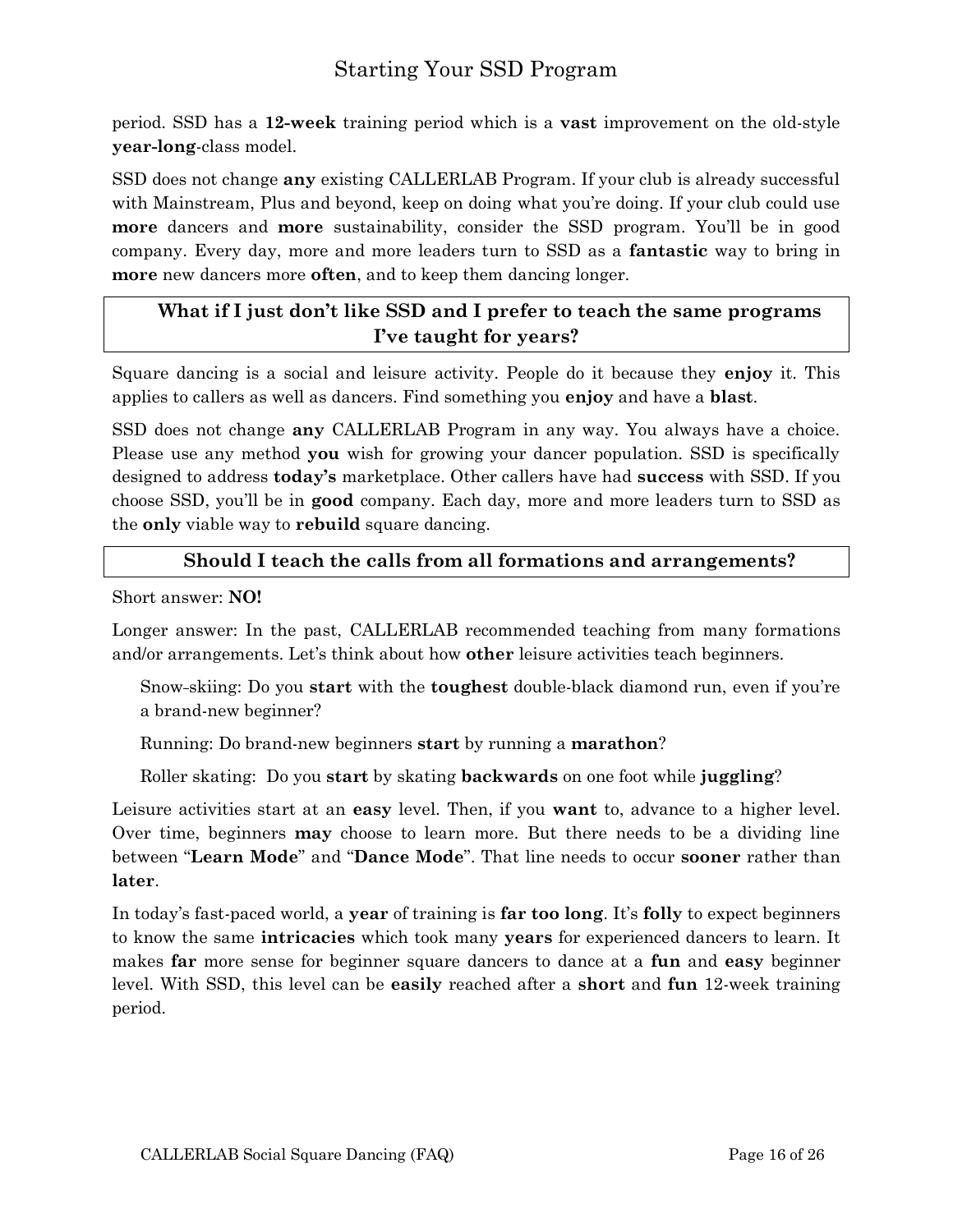## Starting Your SSD Program

period. SSD has a **12-week** training period which is a **vast** improvement on the old-style **year-long**-class model.

SSD does not change **any** existing CALLERLAB Program. If your club is already successful with Mainstream, Plus and beyond, keep on doing what you're doing. If your club could use **more** dancers and **more** sustainability, consider the SSD program. You'll be in good company. Every day, more and more leaders turn to SSD as a **fantastic** way to bring in **more** new dancers more **often**, and to keep them dancing longer.

## <span id="page-15-0"></span>**What if I just don't like SSD and I prefer to teach the same programs I've taught for years?**

Square dancing is a social and leisure activity. People do it because they **enjoy** it. This applies to callers as well as dancers. Find something you **enjoy** and have a **blast**.

SSD does not change **any** CALLERLAB Program in any way. You always have a choice. Please use any method **you** wish for growing your dancer population. SSD is specifically designed to address **today's** marketplace. Other callers have had **success** with SSD. If you choose SSD, you'll be in **good** company. Each day, more and more leaders turn to SSD as the **only** viable way to **rebuild** square dancing.

#### <span id="page-15-1"></span>**Should I teach the calls from all formations and arrangements?**

Short answer: **NO!**

Longer answer: In the past, CALLERLAB recommended teaching from many formations and/or arrangements. Let's think about how **other** leisure activities teach beginners.

Snow skiing: Do you **start** with the **toughest** double-black diamond run, even if you're a brand-new beginner?

Running: Do brand-new beginners **start** by running a **marathon**?

Roller skating: Do you **start** by skating **backwards** on one foot while **juggling**?

Leisure activities start at an **easy** level. Then, if you **want** to, advance to a higher level. Over time, beginners **may** choose to learn more. But there needs to be a dividing line between "**Learn Mode**" and "**Dance Mode**". That line needs to occur **sooner** rather than **later**.

In today's fast-paced world, a **year** of training is **far too long**. It's **folly** to expect beginners to know the same **intricacies** which took many **years** for experienced dancers to learn. It makes **far** more sense for beginner square dancers to dance at a **fun** and **easy** beginner level. With SSD, this level can be **easily** reached after a **short** and **fun** 12-week training period.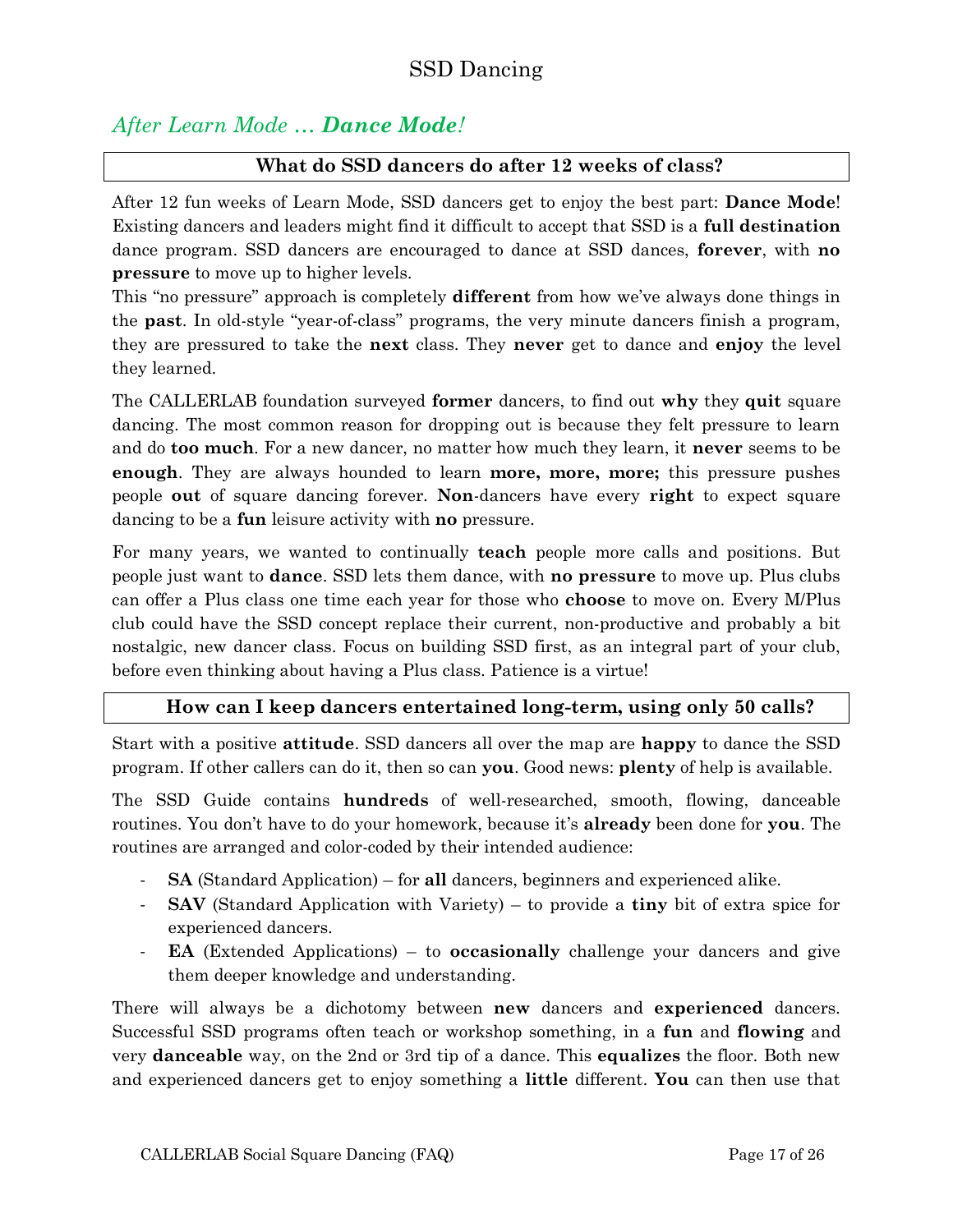## <span id="page-16-0"></span>*After Learn Mode … Dance Mode!*

#### <span id="page-16-1"></span>**What do SSD dancers do after 12 weeks of class?**

After 12 fun weeks of Learn Mode, SSD dancers get to enjoy the best part: **Dance Mode**! Existing dancers and leaders might find it difficult to accept that SSD is a **full destination** dance program. SSD dancers are encouraged to dance at SSD dances, **forever**, with **no pressure** to move up to higher levels.

This "no pressure" approach is completely **different** from how we've always done things in the **past**. In old-style "year-of-class" programs, the very minute dancers finish a program, they are pressured to take the **next** class. They **never** get to dance and **enjoy** the level they learned.

The CALLERLAB foundation surveyed **former** dancers, to find out **why** they **quit** square dancing. The most common reason for dropping out is because they felt pressure to learn and do **too much**. For a new dancer, no matter how much they learn, it **never** seems to be **enough**. They are always hounded to learn **more, more, more;** this pressure pushes people **out** of square dancing forever. **Non**-dancers have every **right** to expect square dancing to be a **fun** leisure activity with **no** pressure.

For many years, we wanted to continually **teach** people more calls and positions. But people just want to **dance**. SSD lets them dance, with **no pressure** to move up. Plus clubs can offer a Plus class one time each year for those who **choose** to move on. Every M/Plus club could have the SSD concept replace their current, non-productive and probably a bit nostalgic, new dancer class. Focus on building SSD first, as an integral part of your club, before even thinking about having a Plus class. Patience is a virtue!

#### <span id="page-16-2"></span>**How can I keep dancers entertained long-term, using only 50 calls?**

Start with a positive **attitude**. SSD dancers all over the map are **happy** to dance the SSD program. If other callers can do it, then so can **you**. Good news: **plenty** of help is available.

The SSD Guide contains **hundreds** of well-researched, smooth, flowing, danceable routines. You don't have to do your homework, because it's **already** been done for **you**. The routines are arranged and color-coded by their intended audience:

- **SA** (Standard Application) for **all** dancers, beginners and experienced alike.
- **SAV** (Standard Application with Variety) to provide a **tiny** bit of extra spice for experienced dancers.
- **EA** (Extended Applications) to **occasionally** challenge your dancers and give them deeper knowledge and understanding.

There will always be a dichotomy between **new** dancers and **experienced** dancers. Successful SSD programs often teach or workshop something, in a **fun** and **flowing** and very **danceable** way, on the 2nd or 3rd tip of a dance. This **equalizes** the floor. Both new and experienced dancers get to enjoy something a **little** different. **You** can then use that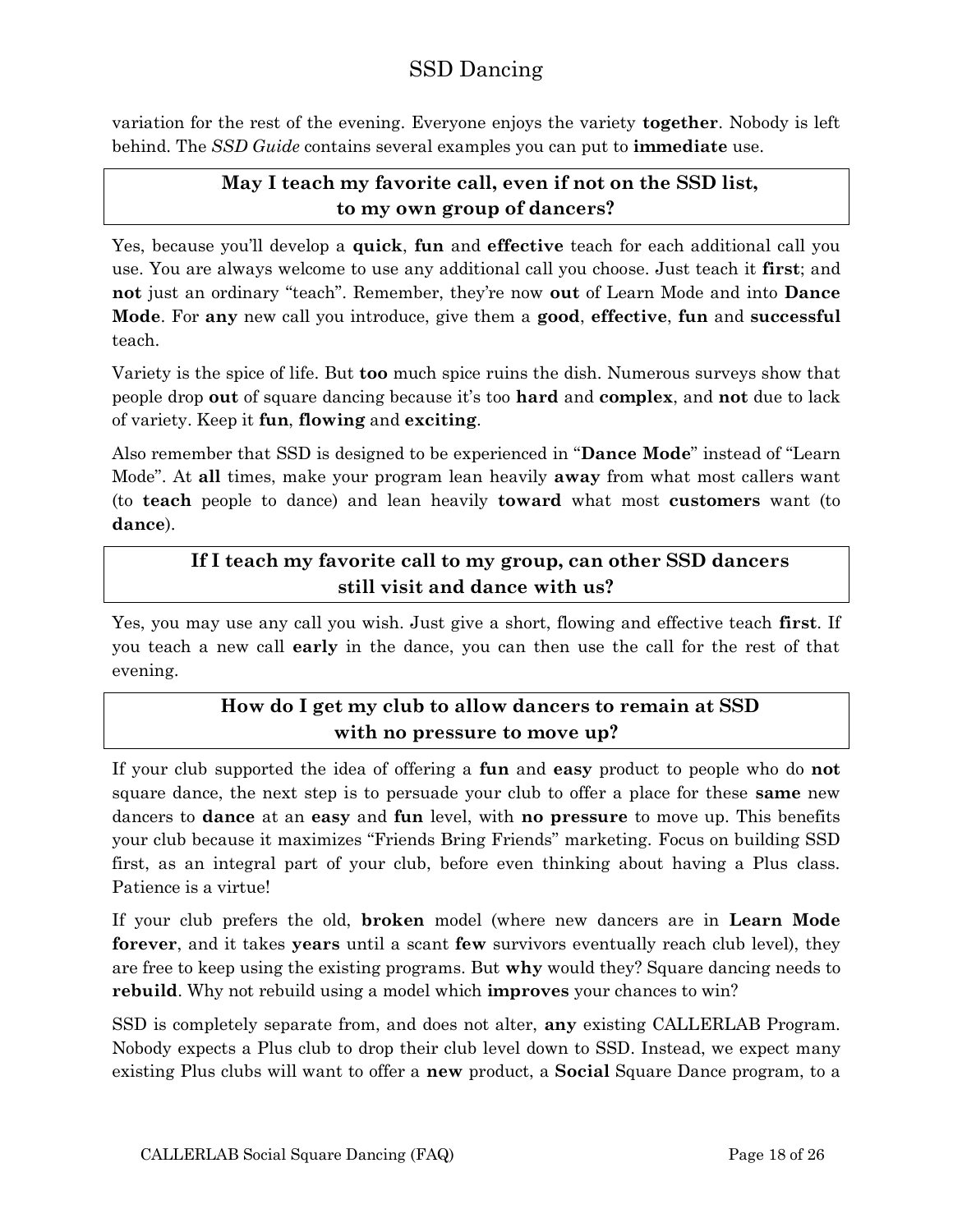variation for the rest of the evening. Everyone enjoys the variety **together**. Nobody is left behind. The *SSD Guide* contains several examples you can put to **immediate** use.

#### <span id="page-17-0"></span>**May I teach my favorite call, even if not on the SSD list, to my own group of dancers?**

Yes, because you'll develop a **quick**, **fun** and **effective** teach for each additional call you use. You are always welcome to use any additional call you choose. Just teach it **first**; and **not** just an ordinary "teach". Remember, they're now **out** of Learn Mode and into **Dance Mode**. For **any** new call you introduce, give them a **good**, **effective**, **fun** and **successful** teach.

Variety is the spice of life. But **too** much spice ruins the dish. Numerous surveys show that people drop **out** of square dancing because it's too **hard** and **complex**, and **not** due to lack of variety. Keep it **fun**, **flowing** and **exciting**.

Also remember that SSD is designed to be experienced in "**Dance Mode**" instead of "Learn Mode". At **all** times, make your program lean heavily **away** from what most callers want (to **teach** people to dance) and lean heavily **toward** what most **customers** want (to **dance**).

## <span id="page-17-1"></span>**If I teach my favorite call to my group, can other SSD dancers still visit and dance with us?**

Yes, you may use any call you wish. Just give a short, flowing and effective teach **first**. If you teach a new call **early** in the dance, you can then use the call for the rest of that evening.

## <span id="page-17-2"></span>**How do I get my club to allow dancers to remain at SSD with no pressure to move up?**

If your club supported the idea of offering a **fun** and **easy** product to people who do **not** square dance, the next step is to persuade your club to offer a place for these **same** new dancers to **dance** at an **easy** and **fun** level, with **no pressure** to move up. This benefits your club because it maximizes "Friends Bring Friends" marketing. Focus on building SSD first, as an integral part of your club, before even thinking about having a Plus class. Patience is a virtue!

If your club prefers the old, **broken** model (where new dancers are in **Learn Mode forever**, and it takes **years** until a scant **few** survivors eventually reach club level), they are free to keep using the existing programs. But **why** would they? Square dancing needs to **rebuild**. Why not rebuild using a model which **improves** your chances to win?

SSD is completely separate from, and does not alter, **any** existing CALLERLAB Program. Nobody expects a Plus club to drop their club level down to SSD. Instead, we expect many existing Plus clubs will want to offer a **new** product, a **Social** Square Dance program, to a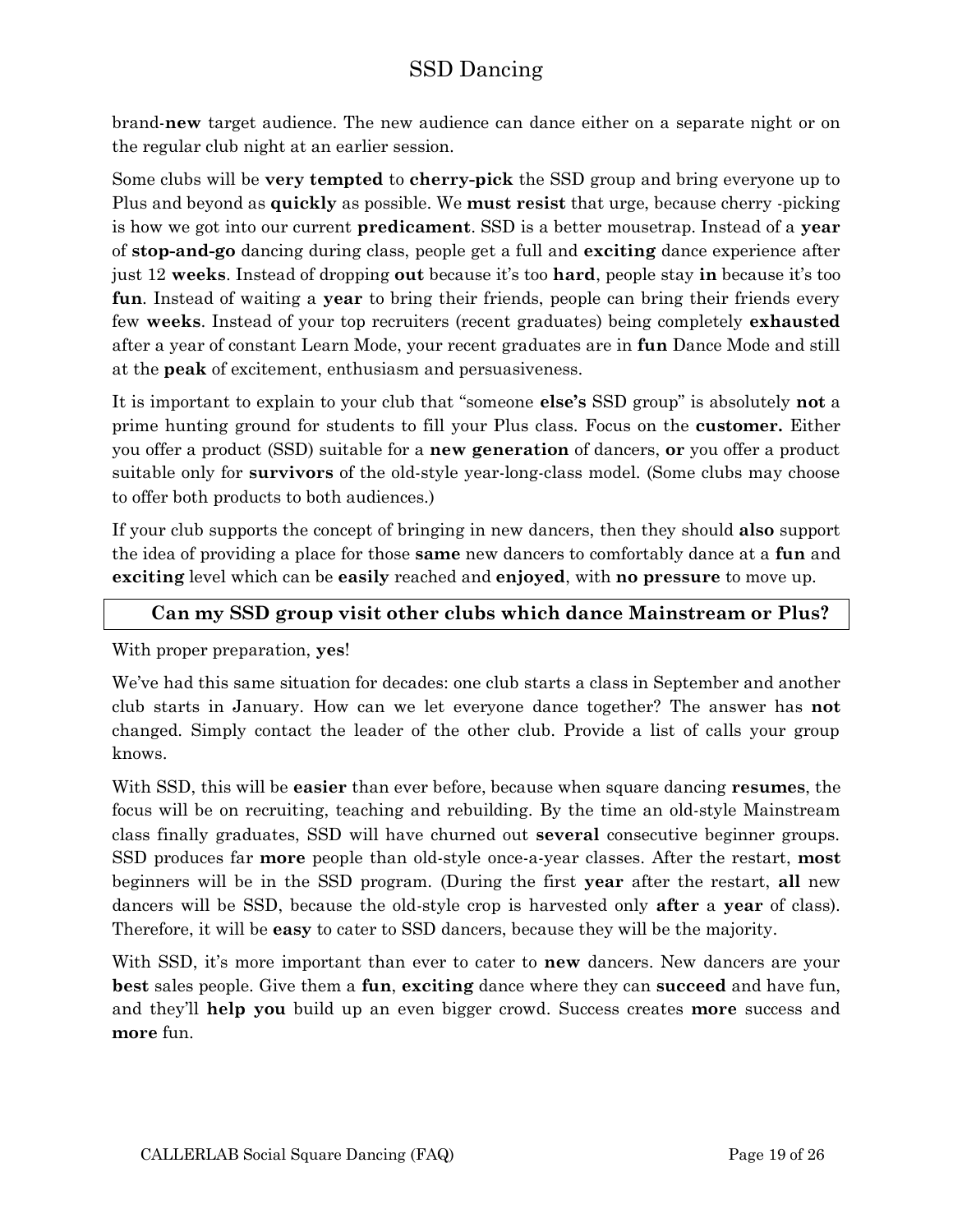brand-**new** target audience. The new audience can dance either on a separate night or on the regular club night at an earlier session.

Some clubs will be **very tempted** to **cherry-pick** the SSD group and bring everyone up to Plus and beyond as **quickly** as possible. We **must resist** that urge, because cherry -picking is how we got into our current **predicament**. SSD is a better mousetrap. Instead of a **year** of **stop-and-go** dancing during class, people get a full and **exciting** dance experience after just 12 **weeks**. Instead of dropping **out** because it's too **hard**, people stay **in** because it's too **fun**. Instead of waiting a **year** to bring their friends, people can bring their friends every few **weeks**. Instead of your top recruiters (recent graduates) being completely **exhausted** after a year of constant Learn Mode, your recent graduates are in **fun** Dance Mode and still at the **peak** of excitement, enthusiasm and persuasiveness.

It is important to explain to your club that "someone **else's** SSD group" is absolutely **not** a prime hunting ground for students to fill your Plus class. Focus on the **customer.** Either you offer a product (SSD) suitable for a **new generation** of dancers, **or** you offer a product suitable only for **survivors** of the old-style year-long-class model. (Some clubs may choose to offer both products to both audiences.)

If your club supports the concept of bringing in new dancers, then they should **also** support the idea of providing a place for those **same** new dancers to comfortably dance at a **fun** and **exciting** level which can be **easily** reached and **enjoyed**, with **no pressure** to move up.

#### <span id="page-18-0"></span>**Can my SSD group visit other clubs which dance Mainstream or Plus?**

With proper preparation, **yes**!

We've had this same situation for decades: one club starts a class in September and another club starts in January. How can we let everyone dance together? The answer has **not** changed. Simply contact the leader of the other club. Provide a list of calls your group knows.

With SSD, this will be **easier** than ever before, because when square dancing **resumes**, the focus will be on recruiting, teaching and rebuilding. By the time an old-style Mainstream class finally graduates, SSD will have churned out **several** consecutive beginner groups. SSD produces far **more** people than old-style once-a-year classes. After the restart, **most** beginners will be in the SSD program. (During the first **year** after the restart, **all** new dancers will be SSD, because the old-style crop is harvested only **after** a **year** of class). Therefore, it will be **easy** to cater to SSD dancers, because they will be the majority.

With SSD, it's more important than ever to cater to **new** dancers. New dancers are your **best** sales people. Give them a **fun**, **exciting** dance where they can **succeed** and have fun, and they'll **help you** build up an even bigger crowd. Success creates **more** success and **more** fun.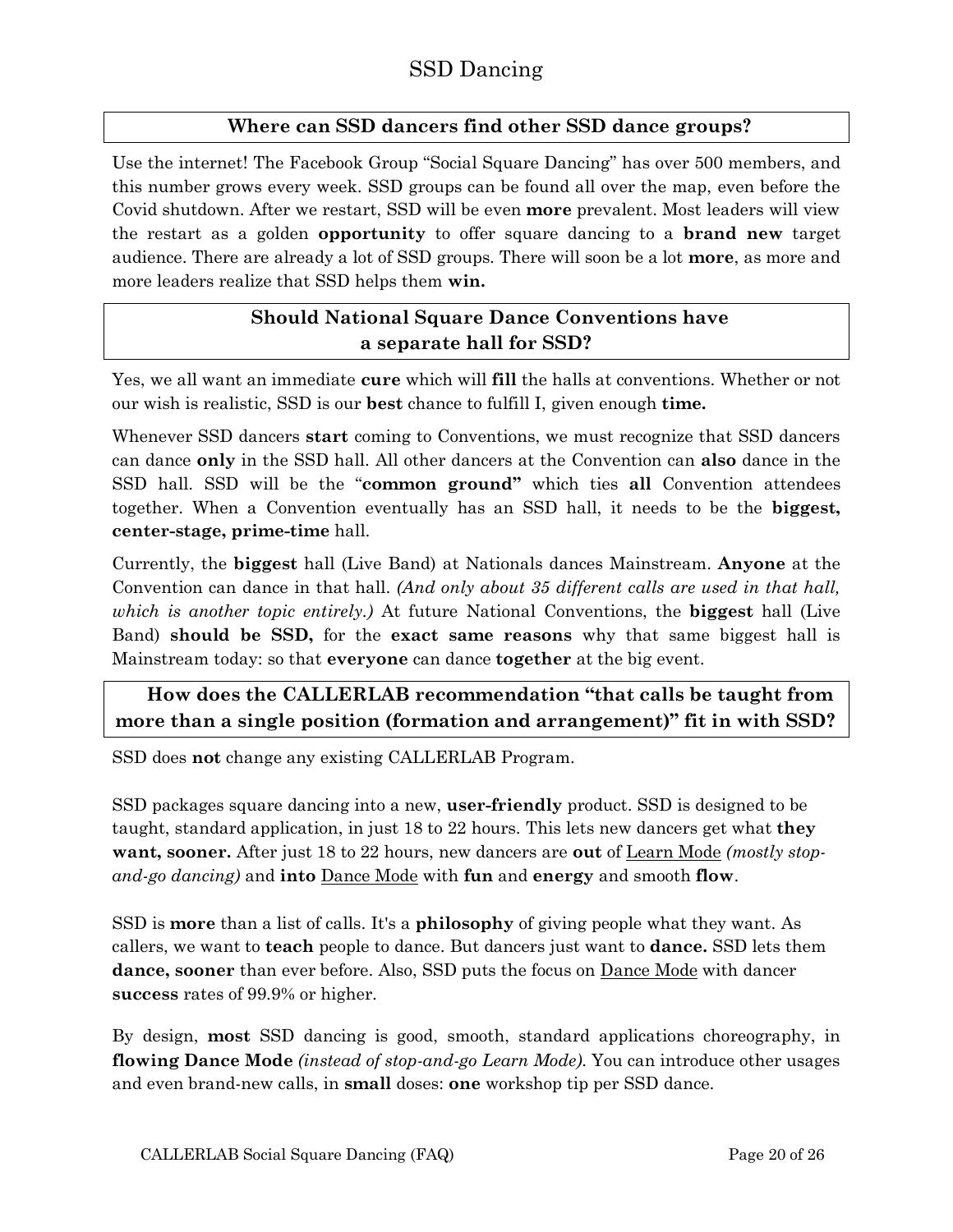#### <span id="page-19-0"></span>**Where can SSD dancers find other SSD dance groups?**

Use the internet! The Facebook Group "Social Square Dancing" has over 500 members, and this number grows every week. SSD groups can be found all over the map, even before the Covid shutdown. After we restart, SSD will be even **more** prevalent. Most leaders will view the restart as a golden **opportunity** to offer square dancing to a **brand new** target audience. There are already a lot of SSD groups. There will soon be a lot **more**, as more and more leaders realize that SSD helps them **win.**

## <span id="page-19-1"></span>**Should National Square Dance Conventions have a separate hall for SSD?**

Yes, we all want an immediate **cure** which will **fill** the halls at conventions. Whether or not our wish is realistic, SSD is our **best** chance to fulfill I, given enough **time.**

Whenever SSD dancers **start** coming to Conventions, we must recognize that SSD dancers can dance **only** in the SSD hall. All other dancers at the Convention can **also** dance in the SSD hall. SSD will be the "**common ground"** which ties **all** Convention attendees together. When a Convention eventually has an SSD hall, it needs to be the **biggest, center-stage, prime-time** hall.

Currently, the **biggest** hall (Live Band) at Nationals dances Mainstream. **Anyone** at the Convention can dance in that hall. *(And only about 35 different calls are used in that hall, which is another topic entirely.)* At future National Conventions, the **biggest** hall (Live Band) **should be SSD,** for the **exact same reasons** why that same biggest hall is Mainstream today: so that **everyone** can dance **together** at the big event.

## <span id="page-19-2"></span>**How does the CALLERLAB recommendation "that calls be taught from more than a single position (formation and arrangement)" fit in with SSD?**

SSD does **not** change any existing CALLERLAB Program.

SSD packages square dancing into a new, **user-friendly** product. SSD is designed to be taught, standard application, in just 18 to 22 hours. This lets new dancers get what **they want, sooner.** After just 18 to 22 hours, new dancers are **out** of Learn Mode *(mostly stopand-go dancing)* and **into** Dance Mode with **fun** and **energy** and smooth **flow**.

SSD is **more** than a list of calls. It's a **philosophy** of giving people what they want. As callers, we want to **teach** people to dance. But dancers just want to **dance.** SSD lets them **dance, sooner** than ever before. Also, SSD puts the focus on Dance Mode with dancer **success** rates of 99.9% or higher.

By design, **most** SSD dancing is good, smooth, standard applications choreography, in **flowing Dance Mode** *(instead of stop-and-go Learn Mode)*. You can introduce other usages and even brand-new calls, in **small** doses: **one** workshop tip per SSD dance.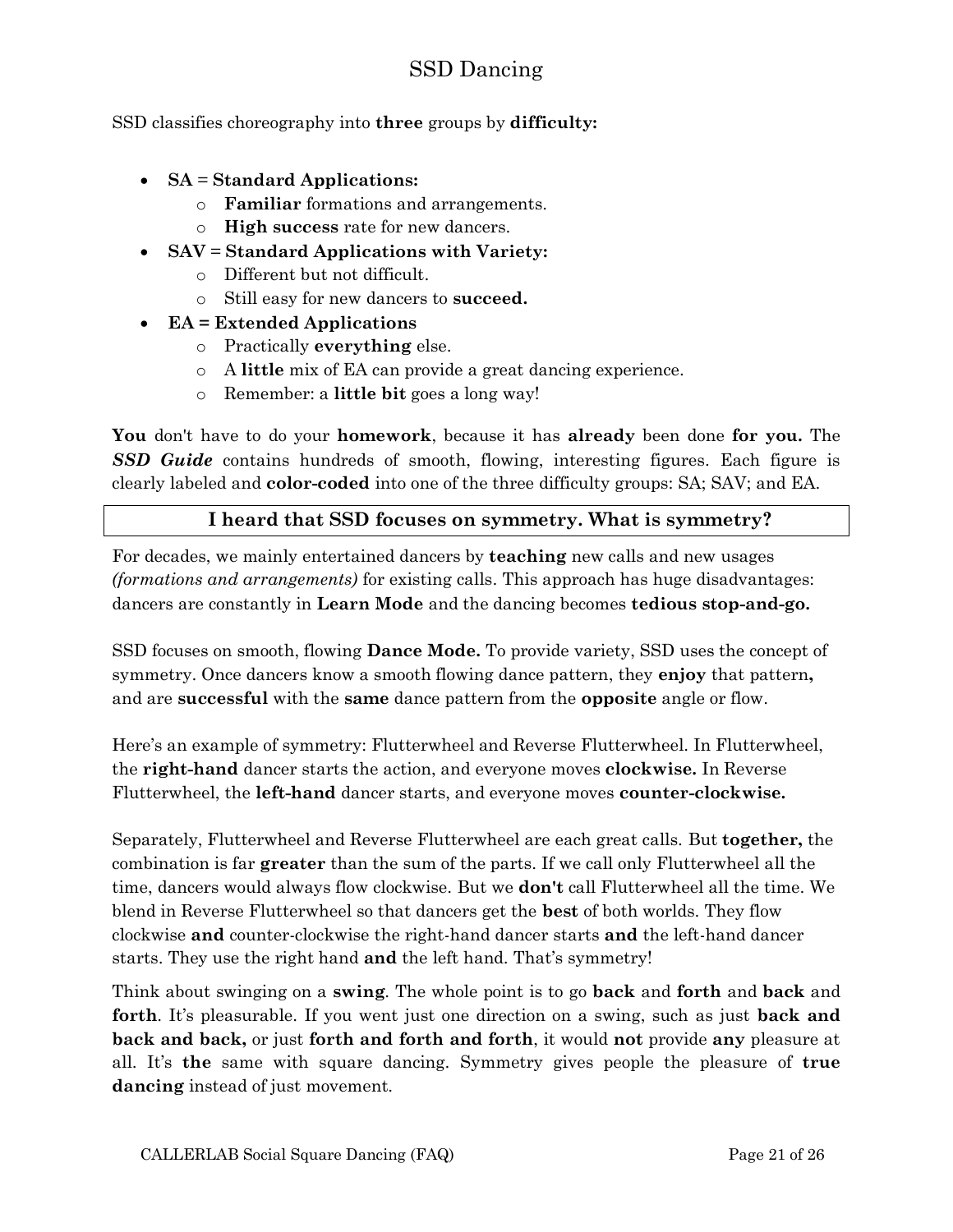SSD classifies choreography into **three** groups by **difficulty:**

- **SA** = **Standard Applications:**
	- o **Familiar** formations and arrangements.
	- o **High success** rate for new dancers.
	- **SAV** = **Standard Applications with Variety:**
		- o Different but not difficult.
		- o Still easy for new dancers to **succeed.**
- **EA = Extended Applications**
	- o Practically **everything** else.
	- o A **little** mix of EA can provide a great dancing experience.
	- o Remember: a **little bit** goes a long way!

**You** don't have to do your **homework**, because it has **already** been done **for you.** The *SSD Guide* contains hundreds of smooth, flowing, interesting figures. Each figure is clearly labeled and **color-coded** into one of the three difficulty groups: SA; SAV; and EA.

#### <span id="page-20-0"></span>**I heard that SSD focuses on symmetry. What is symmetry?**

For decades, we mainly entertained dancers by **teaching** new calls and new usages *(formations and arrangements)* for existing calls. This approach has huge disadvantages: dancers are constantly in **Learn Mode** and the dancing becomes **tedious stop-and-go.**

SSD focuses on smooth, flowing **Dance Mode.** To provide variety, SSD uses the concept of symmetry. Once dancers know a smooth flowing dance pattern, they **enjoy** that pattern**,**  and are **successful** with the **same** dance pattern from the **opposite** angle or flow.

Here's an example of symmetry: Flutterwheel and Reverse Flutterwheel. In Flutterwheel, the **right-hand** dancer starts the action, and everyone moves **clockwise.** In Reverse Flutterwheel, the **left-hand** dancer starts, and everyone moves **counter-clockwise.**

Separately, Flutterwheel and Reverse Flutterwheel are each great calls. But **together,** the combination is far **greater** than the sum of the parts. If we call only Flutterwheel all the time, dancers would always flow clockwise. But we **don't** call Flutterwheel all the time. We blend in Reverse Flutterwheel so that dancers get the **best** of both worlds. They flow clockwise **and** counter-clockwise the right-hand dancer starts **and** the left-hand dancer starts. They use the right hand **and** the left hand. That's symmetry!

Think about swinging on a **swing**. The whole point is to go **back** and **forth** and **back** and **forth**. It's pleasurable. If you went just one direction on a swing, such as just **back and back and back,** or just **forth and forth and forth**, it would **not** provide **any** pleasure at all. It's **the** same with square dancing. Symmetry gives people the pleasure of **true dancing** instead of just movement.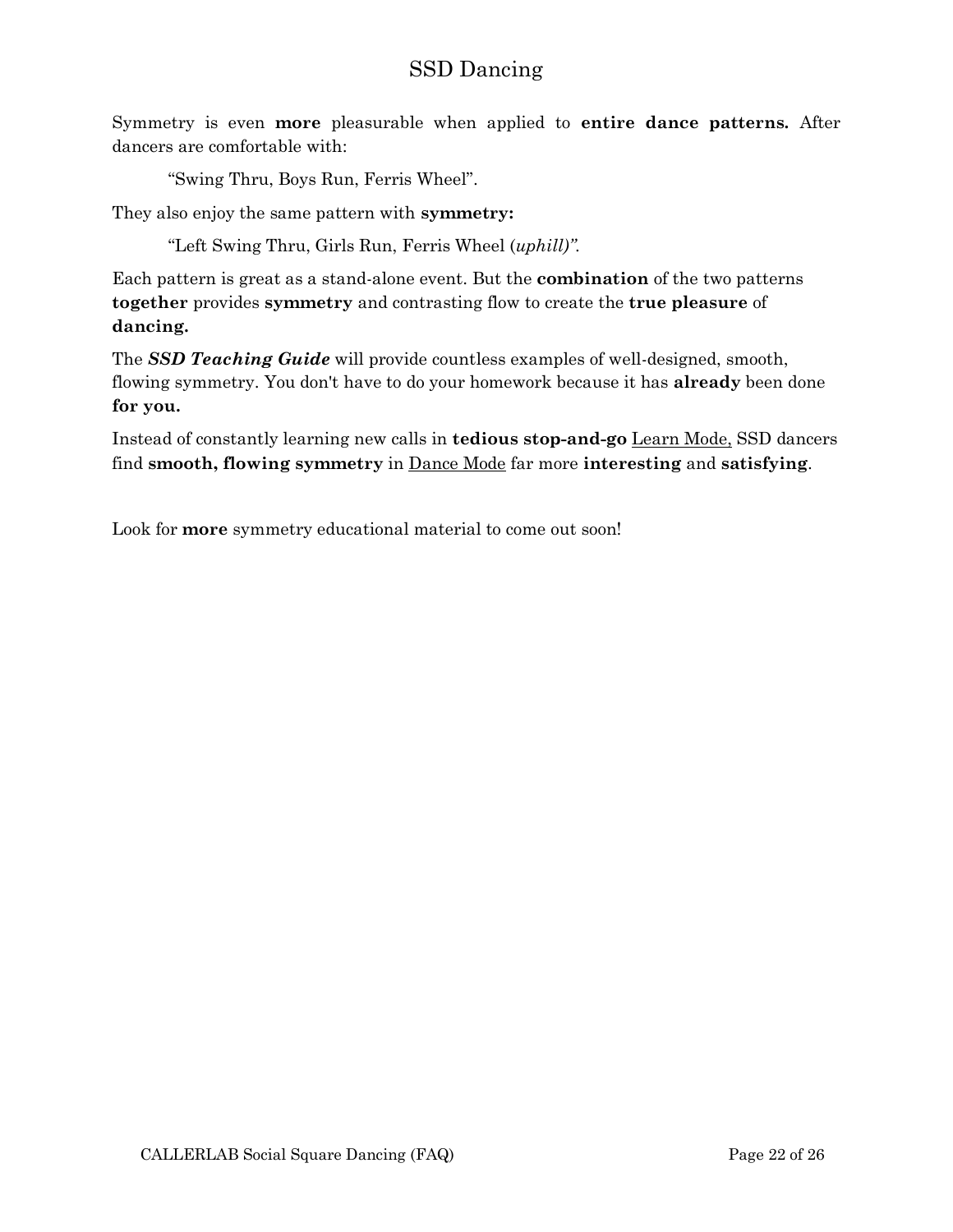Symmetry is even **more** pleasurable when applied to **entire dance patterns.** After dancers are comfortable with:

"Swing Thru, Boys Run, Ferris Wheel".

They also enjoy the same pattern with **symmetry:**

"Left Swing Thru, Girls Run, Ferris Wheel (*uphill)".*

Each pattern is great as a stand-alone event. But the **combination** of the two patterns **together** provides **symmetry** and contrasting flow to create the **true pleasure** of **dancing.**

The *SSD Teaching Guide* will provide countless examples of well-designed, smooth, flowing symmetry. You don't have to do your homework because it has **already** been done **for you.**

Instead of constantly learning new calls in **tedious stop-and-go** Learn Mode, SSD dancers find **smooth, flowing symmetry** in Dance Mode far more **interesting** and **satisfying**.

Look for **more** symmetry educational material to come out soon!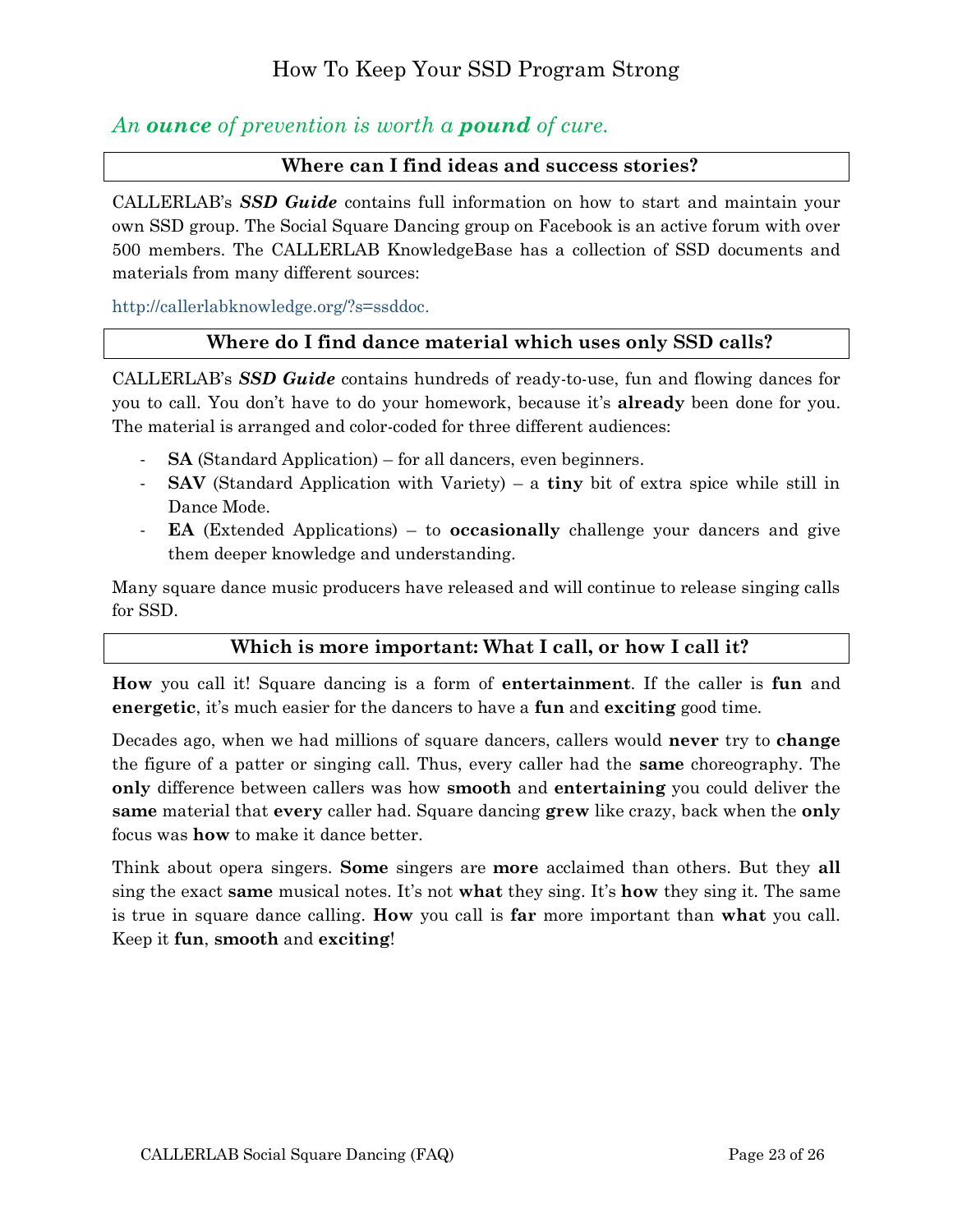## <span id="page-22-0"></span>*An ounce of prevention is worth a pound of cure.*

#### <span id="page-22-1"></span>**Where can I find ideas and success stories?**

CALLERLAB's *SSD Guide* contains full information on how to start and maintain your own SSD group. The Social Square Dancing group on Facebook is an active forum with over 500 members. The CALLERLAB KnowledgeBase has a collection of SSD documents and materials from many different sources:

[http://callerlabknowledge.org/?s=ssddoc.](http://callerlabknowledge.org/?s=ssddoc)

#### <span id="page-22-2"></span>**Where do I find dance material which uses only SSD calls?**

CALLERLAB's *SSD Guide* contains hundreds of ready-to-use, fun and flowing dances for you to call. You don't have to do your homework, because it's **already** been done for you. The material is arranged and color-coded for three different audiences:

- **SA** (Standard Application) for all dancers, even beginners.
- **SAV** (Standard Application with Variety) a **tiny** bit of extra spice while still in Dance Mode.
- **EA** (Extended Applications) to **occasionally** challenge your dancers and give them deeper knowledge and understanding.

Many square dance music producers have released and will continue to release singing calls for SSD.

#### <span id="page-22-3"></span>**Which is more important: What I call, or how I call it?**

**How** you call it! Square dancing is a form of **entertainment**. If the caller is **fun** and **energetic**, it's much easier for the dancers to have a **fun** and **exciting** good time.

Decades ago, when we had millions of square dancers, callers would **never** try to **change** the figure of a patter or singing call. Thus, every caller had the **same** choreography. The **only** difference between callers was how **smooth** and **entertaining** you could deliver the **same** material that **every** caller had. Square dancing **grew** like crazy, back when the **only** focus was **how** to make it dance better.

Think about opera singers. **Some** singers are **more** acclaimed than others. But they **all** sing the exact **same** musical notes. It's not **what** they sing. It's **how** they sing it. The same is true in square dance calling. **How** you call is **far** more important than **what** you call. Keep it **fun**, **smooth** and **exciting**!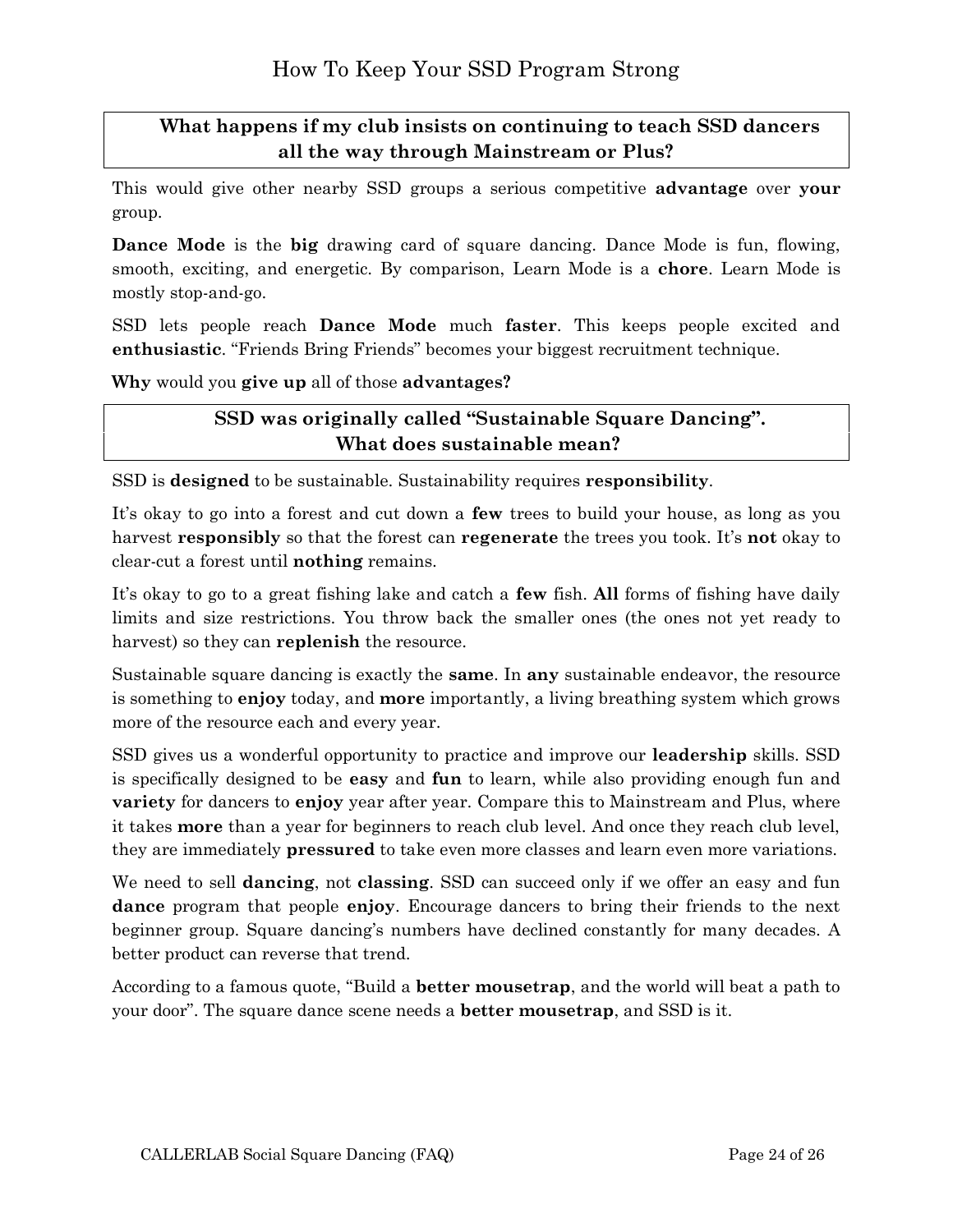## <span id="page-23-0"></span>**What happens if my club insists on continuing to teach SSD dancers all the way through Mainstream or Plus?**

This would give other nearby SSD groups a serious competitive **advantage** over **your** group.

**Dance Mode** is the **big** drawing card of square dancing. Dance Mode is fun, flowing, smooth, exciting, and energetic. By comparison, Learn Mode is a **chore**. Learn Mode is mostly stop-and-go.

SSD lets people reach **Dance Mode** much **faster**. This keeps people excited and **enthusiastic**. "Friends Bring Friends" becomes your biggest recruitment technique.

**Why** would you **give up** all of those **advantages?**

#### <span id="page-23-1"></span>**SSD was originally called "Sustainable Square Dancing". What does sustainable mean?**

SSD is **designed** to be sustainable. Sustainability requires **responsibility**.

It's okay to go into a forest and cut down a **few** trees to build your house, as long as you harvest **responsibly** so that the forest can **regenerate** the trees you took. It's **not** okay to clear-cut a forest until **nothing** remains.

It's okay to go to a great fishing lake and catch a **few** fish. **All** forms of fishing have daily limits and size restrictions. You throw back the smaller ones (the ones not yet ready to harvest) so they can **replenish** the resource.

Sustainable square dancing is exactly the **same**. In **any** sustainable endeavor, the resource is something to **enjoy** today, and **more** importantly, a living breathing system which grows more of the resource each and every year.

SSD gives us a wonderful opportunity to practice and improve our **leadership** skills. SSD is specifically designed to be **easy** and **fun** to learn, while also providing enough fun and **variety** for dancers to **enjoy** year after year. Compare this to Mainstream and Plus, where it takes **more** than a year for beginners to reach club level. And once they reach club level, they are immediately **pressured** to take even more classes and learn even more variations.

We need to sell **dancing**, not **classing**. SSD can succeed only if we offer an easy and fun **dance** program that people **enjoy**. Encourage dancers to bring their friends to the next beginner group. Square dancing's numbers have declined constantly for many decades. A better product can reverse that trend.

According to a famous quote, "Build a **better mousetrap**, and the world will beat a path to your door". The square dance scene needs a **better mousetrap**, and SSD is it.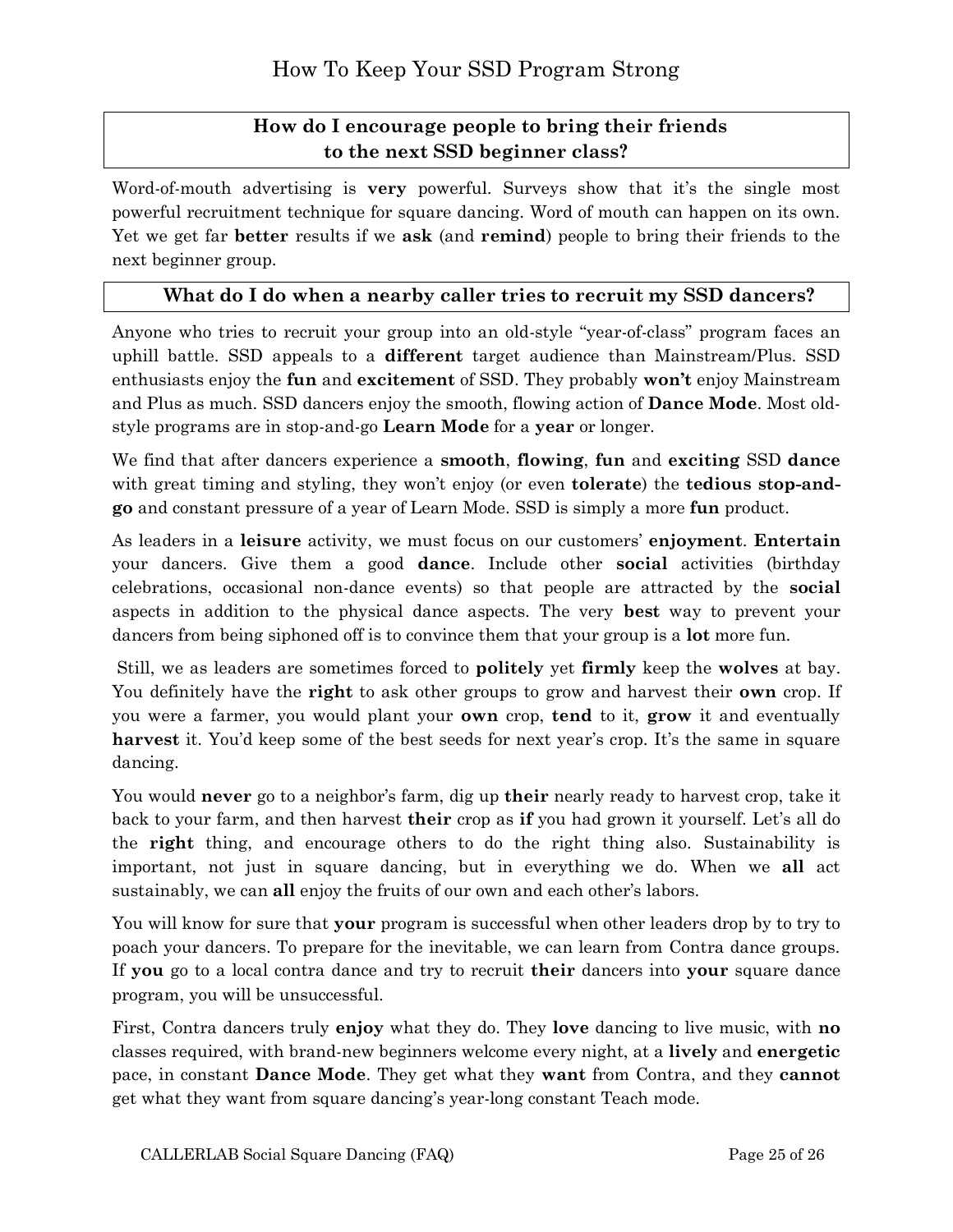## <span id="page-24-0"></span>**How do I encourage people to bring their friends to the next SSD beginner class?**

Word-of-mouth advertising is **very** powerful. Surveys show that it's the single most powerful recruitment technique for square dancing. Word of mouth can happen on its own. Yet we get far **better** results if we **ask** (and **remind**) people to bring their friends to the next beginner group.

#### <span id="page-24-1"></span>**What do I do when a nearby caller tries to recruit my SSD dancers?**

Anyone who tries to recruit your group into an old-style "year-of-class" program faces an uphill battle. SSD appeals to a **different** target audience than Mainstream/Plus. SSD enthusiasts enjoy the **fun** and **excitement** of SSD. They probably **won't** enjoy Mainstream and Plus as much. SSD dancers enjoy the smooth, flowing action of **Dance Mode**. Most oldstyle programs are in stop-and-go **Learn Mode** for a **year** or longer.

We find that after dancers experience a **smooth**, **flowing**, **fun** and **exciting** SSD **dance** with great timing and styling, they won't enjoy (or even **tolerate**) the **tedious stop-andgo** and constant pressure of a year of Learn Mode. SSD is simply a more **fun** product.

As leaders in a **leisure** activity, we must focus on our customers' **enjoyment**. **Entertain** your dancers. Give them a good **dance**. Include other **social** activities (birthday celebrations, occasional non-dance events) so that people are attracted by the **social** aspects in addition to the physical dance aspects. The very **best** way to prevent your dancers from being siphoned off is to convince them that your group is a **lot** more fun.

Still, we as leaders are sometimes forced to **politely** yet **firmly** keep the **wolves** at bay. You definitely have the **right** to ask other groups to grow and harvest their **own** crop. If you were a farmer, you would plant your **own** crop, **tend** to it, **grow** it and eventually **harvest** it. You'd keep some of the best seeds for next year's crop. It's the same in square dancing.

You would **never** go to a neighbor's farm, dig up **their** nearly ready to harvest crop, take it back to your farm, and then harvest **their** crop as **if** you had grown it yourself. Let's all do the **right** thing, and encourage others to do the right thing also. Sustainability is important, not just in square dancing, but in everything we do. When we **all** act sustainably, we can **all** enjoy the fruits of our own and each other's labors.

You will know for sure that **your** program is successful when other leaders drop by to try to poach your dancers. To prepare for the inevitable, we can learn from Contra dance groups. If **you** go to a local contra dance and try to recruit **their** dancers into **your** square dance program, you will be unsuccessful.

First, Contra dancers truly **enjoy** what they do. They **love** dancing to live music, with **no** classes required, with brand-new beginners welcome every night, at a **lively** and **energetic** pace, in constant **Dance Mode**. They get what they **want** from Contra, and they **cannot**  get what they want from square dancing's year-long constant Teach mode.